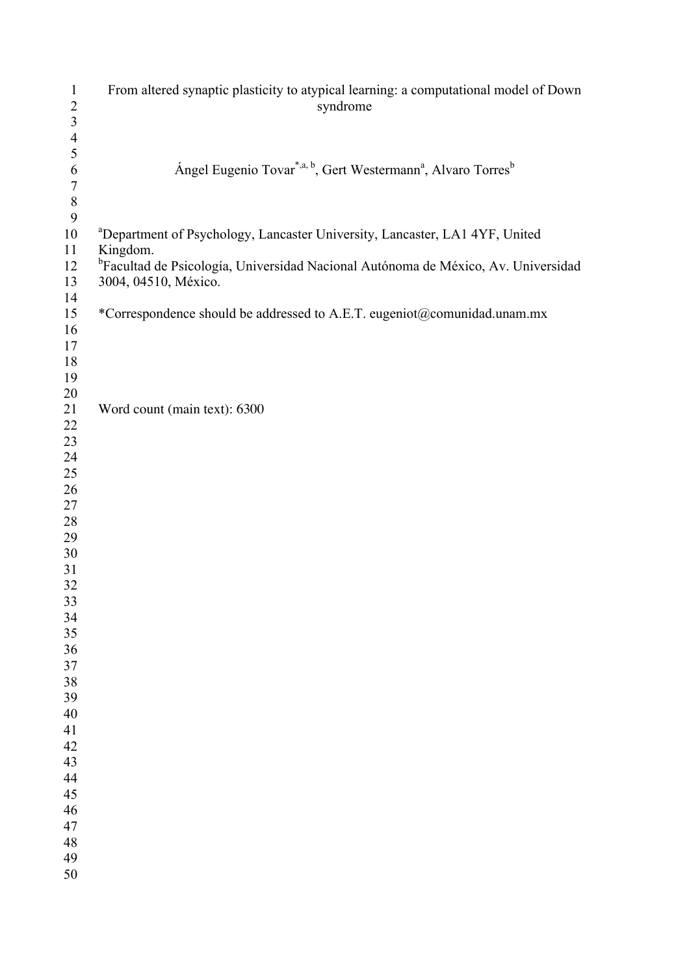| $\mathbf{1}$<br>$\overline{c}$ | From altered synaptic plasticity to atypical learning: a computational model of Down<br>syndrome  |
|--------------------------------|---------------------------------------------------------------------------------------------------|
| $\overline{\mathbf{3}}$        |                                                                                                   |
| $\overline{4}$                 |                                                                                                   |
| 5                              |                                                                                                   |
| 6                              | Ángel Eugenio Tovar <sup>*,a, b</sup> , Gert Westermann <sup>a</sup> , Alvaro Torres <sup>b</sup> |
| $\sqrt{ }$                     |                                                                                                   |
| $\,8\,$                        |                                                                                                   |
| 9                              |                                                                                                   |
| 10                             | <sup>a</sup> Department of Psychology, Lancaster University, Lancaster, LA1 4YF, United           |
| 11                             | Kingdom.                                                                                          |
| 12                             | <sup>b</sup> Facultad de Psicología, Universidad Nacional Autónoma de México, Av. Universidad     |
| 13                             | 3004, 04510, México.                                                                              |
| 14                             |                                                                                                   |
| 15                             | *Correspondence should be addressed to A.E.T. eugeniot@comunidad.unam.mx                          |
| 16                             |                                                                                                   |
| 17                             |                                                                                                   |
| 18                             |                                                                                                   |
| 19                             |                                                                                                   |
| 20                             |                                                                                                   |
| 21                             | Word count (main text): 6300                                                                      |
| 22                             |                                                                                                   |
| 23                             |                                                                                                   |
| 24                             |                                                                                                   |
| 25                             |                                                                                                   |
| 26                             |                                                                                                   |
| 27                             |                                                                                                   |
| 28                             |                                                                                                   |
| 29                             |                                                                                                   |
| $30\,$                         |                                                                                                   |
| 31<br>32                       |                                                                                                   |
| 33                             |                                                                                                   |
| 34                             |                                                                                                   |
| 35                             |                                                                                                   |
| 36                             |                                                                                                   |
| 37                             |                                                                                                   |
| 38                             |                                                                                                   |
| 39                             |                                                                                                   |
| 40                             |                                                                                                   |
| 41                             |                                                                                                   |
| 42                             |                                                                                                   |
| 43                             |                                                                                                   |
| 44                             |                                                                                                   |
| 45                             |                                                                                                   |
| 46                             |                                                                                                   |
| 47                             |                                                                                                   |
| 48                             |                                                                                                   |
| 49                             |                                                                                                   |
| 50                             |                                                                                                   |
|                                |                                                                                                   |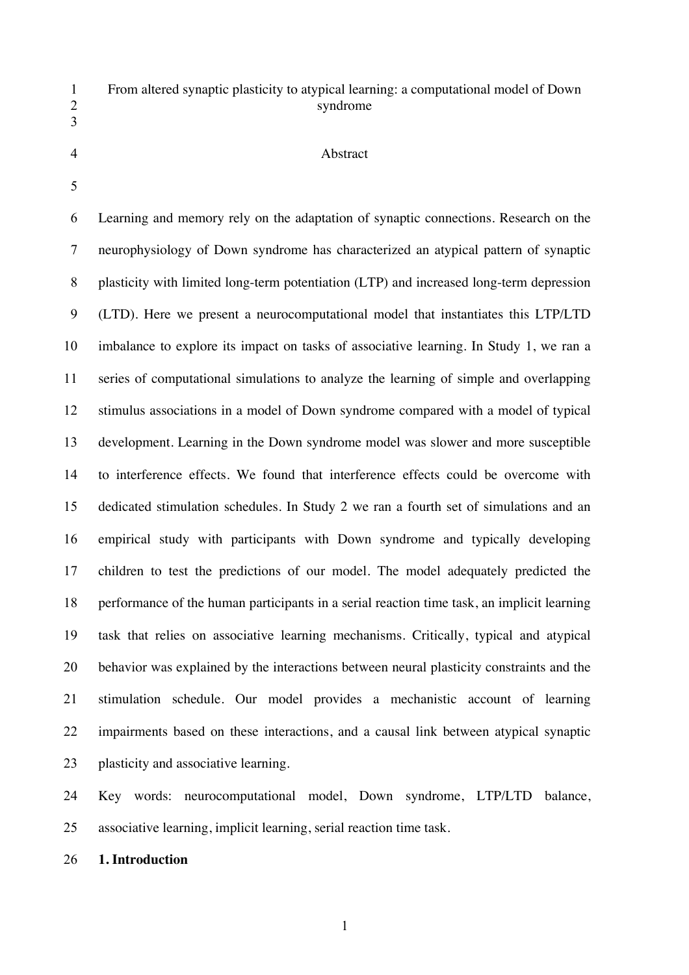# From altered synaptic plasticity to atypical learning: a computational model of Down syndrome

#### Abstract

 Learning and memory rely on the adaptation of synaptic connections. Research on the neurophysiology of Down syndrome has characterized an atypical pattern of synaptic plasticity with limited long-term potentiation (LTP) and increased long-term depression (LTD). Here we present a neurocomputational model that instantiates this LTP/LTD imbalance to explore its impact on tasks of associative learning. In Study 1, we ran a series of computational simulations to analyze the learning of simple and overlapping stimulus associations in a model of Down syndrome compared with a model of typical development. Learning in the Down syndrome model was slower and more susceptible to interference effects. We found that interference effects could be overcome with dedicated stimulation schedules. In Study 2 we ran a fourth set of simulations and an empirical study with participants with Down syndrome and typically developing children to test the predictions of our model. The model adequately predicted the performance of the human participants in a serial reaction time task, an implicit learning task that relies on associative learning mechanisms. Critically, typical and atypical behavior was explained by the interactions between neural plasticity constraints and the stimulation schedule. Our model provides a mechanistic account of learning impairments based on these interactions, and a causal link between atypical synaptic plasticity and associative learning.

 Key words: neurocomputational model, Down syndrome, LTP/LTD balance, associative learning, implicit learning, serial reaction time task.

**1. Introduction**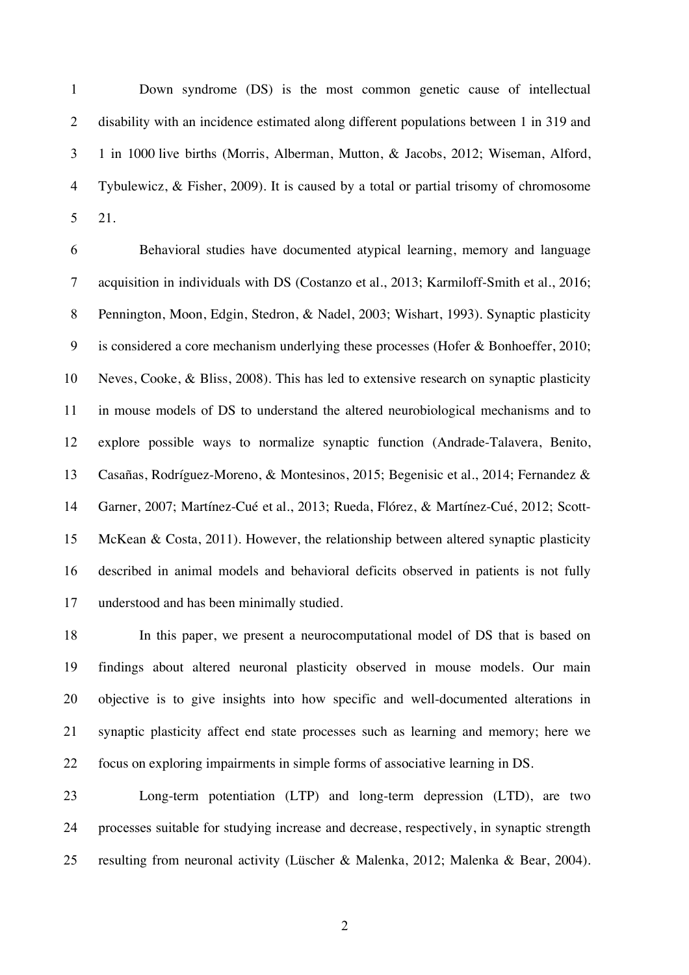Down syndrome (DS) is the most common genetic cause of intellectual disability with an incidence estimated along different populations between 1 in 319 and 1 in 1000 live births (Morris, Alberman, Mutton, & Jacobs, 2012; Wiseman, Alford, Tybulewicz, & Fisher, 2009). It is caused by a total or partial trisomy of chromosome 21.

 Behavioral studies have documented atypical learning, memory and language acquisition in individuals with DS (Costanzo et al., 2013; Karmiloff-Smith et al., 2016; Pennington, Moon, Edgin, Stedron, & Nadel, 2003; Wishart, 1993). Synaptic plasticity is considered a core mechanism underlying these processes (Hofer & Bonhoeffer, 2010; Neves, Cooke, & Bliss, 2008). This has led to extensive research on synaptic plasticity in mouse models of DS to understand the altered neurobiological mechanisms and to explore possible ways to normalize synaptic function (Andrade-Talavera, Benito, Casañas, Rodríguez-Moreno, & Montesinos, 2015; Begenisic et al., 2014; Fernandez & Garner, 2007; Martínez-Cué et al., 2013; Rueda, Flórez, & Martínez-Cué, 2012; Scott- McKean & Costa, 2011). However, the relationship between altered synaptic plasticity described in animal models and behavioral deficits observed in patients is not fully understood and has been minimally studied.

 In this paper, we present a neurocomputational model of DS that is based on findings about altered neuronal plasticity observed in mouse models. Our main objective is to give insights into how specific and well-documented alterations in synaptic plasticity affect end state processes such as learning and memory; here we focus on exploring impairments in simple forms of associative learning in DS.

 Long-term potentiation (LTP) and long-term depression (LTD), are two processes suitable for studying increase and decrease, respectively, in synaptic strength resulting from neuronal activity (Lüscher & Malenka, 2012; Malenka & Bear, 2004).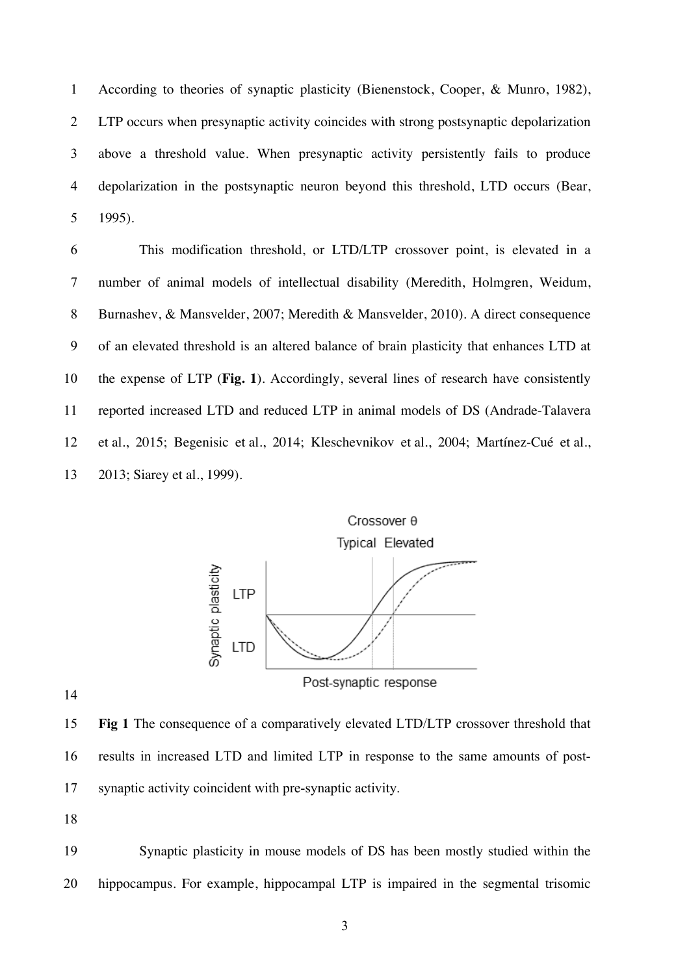According to theories of synaptic plasticity (Bienenstock, Cooper, & Munro, 1982), LTP occurs when presynaptic activity coincides with strong postsynaptic depolarization above a threshold value. When presynaptic activity persistently fails to produce depolarization in the postsynaptic neuron beyond this threshold, LTD occurs (Bear, 1995).

 This modification threshold, or LTD/LTP crossover point, is elevated in a number of animal models of intellectual disability (Meredith, Holmgren, Weidum, Burnashev, & Mansvelder, 2007; Meredith & Mansvelder, 2010). A direct consequence of an elevated threshold is an altered balance of brain plasticity that enhances LTD at the expense of LTP (**Fig. 1**). Accordingly, several lines of research have consistently reported increased LTD and reduced LTP in animal models of DS (Andrade-Talavera et al., 2015; Begenisic et al., 2014; Kleschevnikov et al., 2004; Martínez-Cué et al., 2013; Siarey et al., 1999).



 **Fig 1** The consequence of a comparatively elevated LTD/LTP crossover threshold that results in increased LTD and limited LTP in response to the same amounts of post-synaptic activity coincident with pre-synaptic activity.

 Synaptic plasticity in mouse models of DS has been mostly studied within the hippocampus. For example, hippocampal LTP is impaired in the segmental trisomic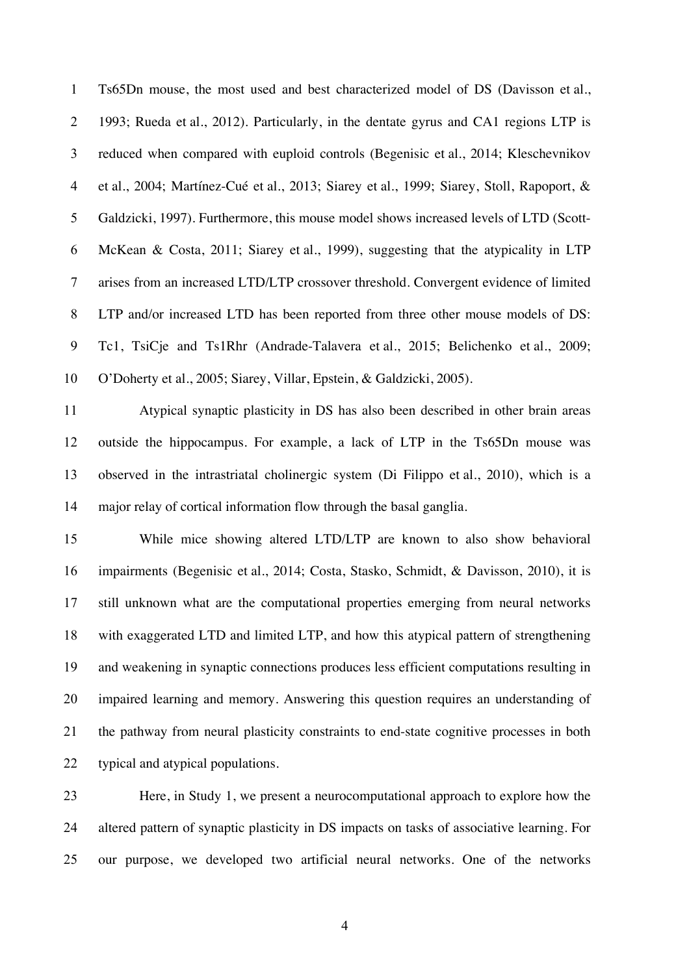Ts65Dn mouse, the most used and best characterized model of DS (Davisson et al., 1993; Rueda et al., 2012). Particularly, in the dentate gyrus and CA1 regions LTP is reduced when compared with euploid controls (Begenisic et al., 2014; Kleschevnikov et al., 2004; Martínez-Cué et al., 2013; Siarey et al., 1999; Siarey, Stoll, Rapoport, & Galdzicki, 1997). Furthermore, this mouse model shows increased levels of LTD (Scott- McKean & Costa, 2011; Siarey et al., 1999), suggesting that the atypicality in LTP arises from an increased LTD/LTP crossover threshold. Convergent evidence of limited LTP and/or increased LTD has been reported from three other mouse models of DS: Tc1, TsiCje and Ts1Rhr (Andrade-Talavera et al., 2015; Belichenko et al., 2009; O'Doherty et al., 2005; Siarey, Villar, Epstein, & Galdzicki, 2005).

 Atypical synaptic plasticity in DS has also been described in other brain areas outside the hippocampus. For example, a lack of LTP in the Ts65Dn mouse was observed in the intrastriatal cholinergic system (Di Filippo et al., 2010), which is a major relay of cortical information flow through the basal ganglia.

 While mice showing altered LTD/LTP are known to also show behavioral impairments (Begenisic et al., 2014; Costa, Stasko, Schmidt, & Davisson, 2010), it is still unknown what are the computational properties emerging from neural networks with exaggerated LTD and limited LTP, and how this atypical pattern of strengthening and weakening in synaptic connections produces less efficient computations resulting in impaired learning and memory. Answering this question requires an understanding of the pathway from neural plasticity constraints to end-state cognitive processes in both typical and atypical populations.

 Here, in Study 1, we present a neurocomputational approach to explore how the altered pattern of synaptic plasticity in DS impacts on tasks of associative learning. For our purpose, we developed two artificial neural networks. One of the networks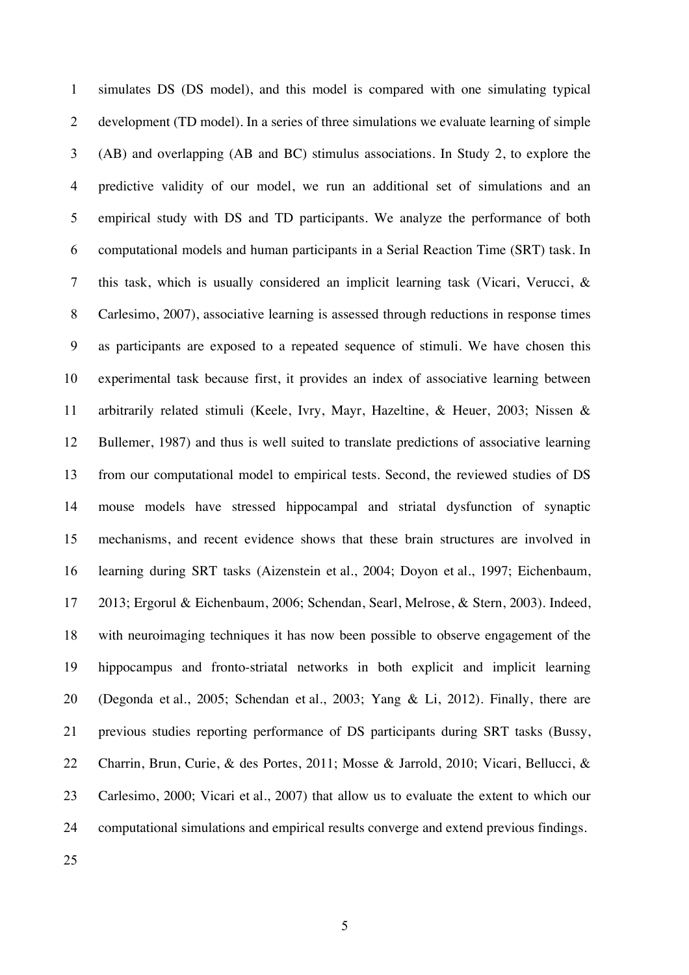simulates DS (DS model), and this model is compared with one simulating typical development (TD model). In a series of three simulations we evaluate learning of simple (AB) and overlapping (AB and BC) stimulus associations. In Study 2, to explore the predictive validity of our model, we run an additional set of simulations and an empirical study with DS and TD participants. We analyze the performance of both computational models and human participants in a Serial Reaction Time (SRT) task. In this task, which is usually considered an implicit learning task (Vicari, Verucci, & Carlesimo, 2007), associative learning is assessed through reductions in response times as participants are exposed to a repeated sequence of stimuli. We have chosen this experimental task because first, it provides an index of associative learning between arbitrarily related stimuli (Keele, Ivry, Mayr, Hazeltine, & Heuer, 2003; Nissen & Bullemer, 1987) and thus is well suited to translate predictions of associative learning from our computational model to empirical tests. Second, the reviewed studies of DS mouse models have stressed hippocampal and striatal dysfunction of synaptic mechanisms, and recent evidence shows that these brain structures are involved in learning during SRT tasks (Aizenstein et al., 2004; Doyon et al., 1997; Eichenbaum, 2013; Ergorul & Eichenbaum, 2006; Schendan, Searl, Melrose, & Stern, 2003). Indeed, with neuroimaging techniques it has now been possible to observe engagement of the hippocampus and fronto-striatal networks in both explicit and implicit learning (Degonda et al., 2005; Schendan et al., 2003; Yang & Li, 2012). Finally, there are previous studies reporting performance of DS participants during SRT tasks (Bussy, Charrin, Brun, Curie, & des Portes, 2011; Mosse & Jarrold, 2010; Vicari, Bellucci, & Carlesimo, 2000; Vicari et al., 2007) that allow us to evaluate the extent to which our computational simulations and empirical results converge and extend previous findings.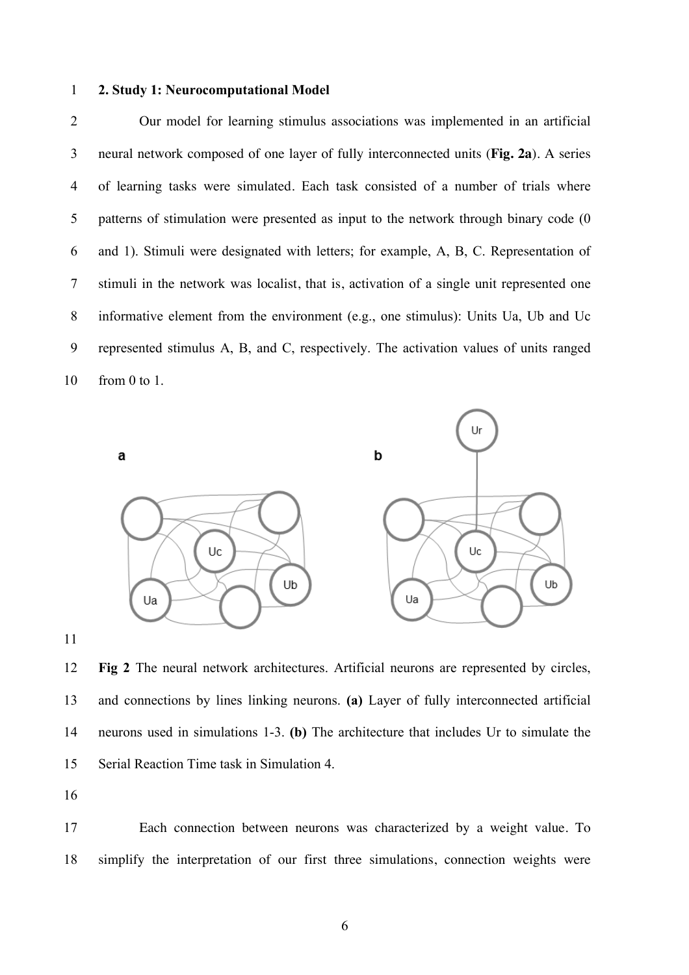#### **2. Study 1: Neurocomputational Model**

 Our model for learning stimulus associations was implemented in an artificial neural network composed of one layer of fully interconnected units (**Fig. 2a**). A series of learning tasks were simulated. Each task consisted of a number of trials where patterns of stimulation were presented as input to the network through binary code (0 and 1). Stimuli were designated with letters; for example, A, B, C. Representation of stimuli in the network was localist, that is, activation of a single unit represented one informative element from the environment (e.g., one stimulus): Units Ua, Ub and Uc represented stimulus A, B, and C, respectively. The activation values of units ranged from 0 to 1.



 **Fig 2** The neural network architectures. Artificial neurons are represented by circles, and connections by lines linking neurons. **(a)** Layer of fully interconnected artificial neurons used in simulations 1-3. **(b)** The architecture that includes Ur to simulate the Serial Reaction Time task in Simulation 4.

 Each connection between neurons was characterized by a weight value. To simplify the interpretation of our first three simulations, connection weights were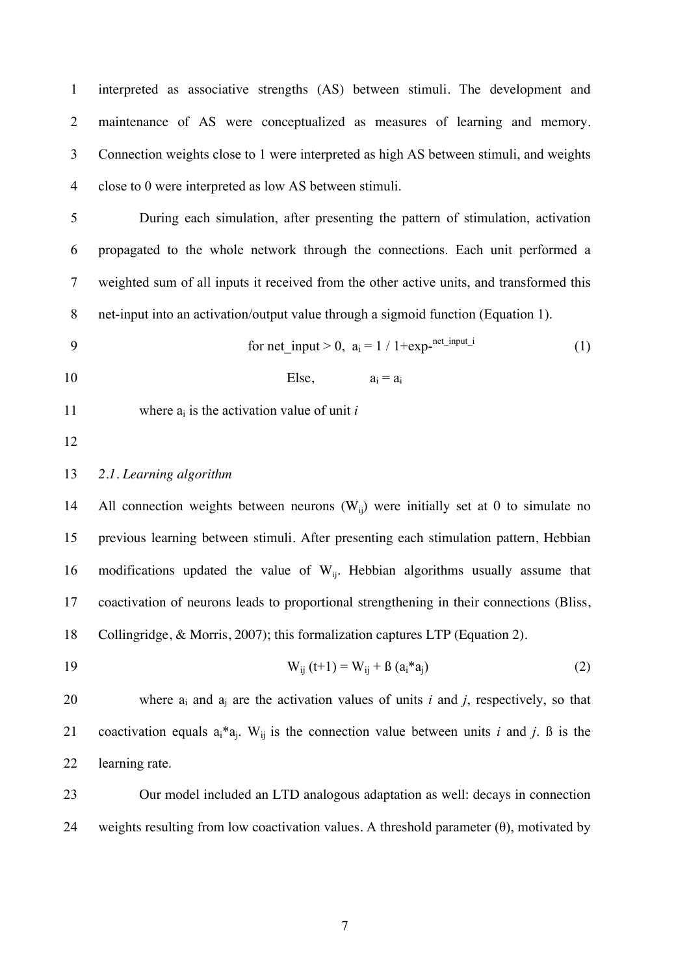interpreted as associative strengths (AS) between stimuli. The development and maintenance of AS were conceptualized as measures of learning and memory. Connection weights close to 1 were interpreted as high AS between stimuli, and weights close to 0 were interpreted as low AS between stimuli.

 During each simulation, after presenting the pattern of stimulation, activation propagated to the whole network through the connections. Each unit performed a weighted sum of all inputs it received from the other active units, and transformed this net-input into an activation/output value through a sigmoid function (Equation 1).

$$
9 \qquad \qquad \text{for net\_input} > 0, \ a_i = 1 / 1 + \exp^{-\text{net\_input\_i}} \tag{1}
$$

10 Else,  $a_i = a_i$ 

11 where  $a_i$  is the activation value of unit *i* 

#### *2.1. Learning algorithm*

14 • All connection weights between neurons  $(W_{ii})$  were initially set at 0 to simulate no previous learning between stimuli. After presenting each stimulation pattern, Hebbian 16 modifications updated the value of  $W_{ii}$ . Hebbian algorithms usually assume that coactivation of neurons leads to proportional strengthening in their connections (Bliss, Collingridge, & Morris, 2007); this formalization captures LTP (Equation 2).

19 
$$
W_{ij}(t+1) = W_{ij} + \beta (a_i * a_j)
$$
 (2)

20 where  $a_i$  and  $a_j$  are the activation values of units *i* and *j*, respectively, so that 21 coactivation equals  $a_i^* a_j$ . W<sub>ij</sub> is the connection value between units *i* and *j*. B is the learning rate.

 Our model included an LTD analogous adaptation as well: decays in connection 24 weights resulting from low coactivation values. A threshold parameter  $(\theta)$ , motivated by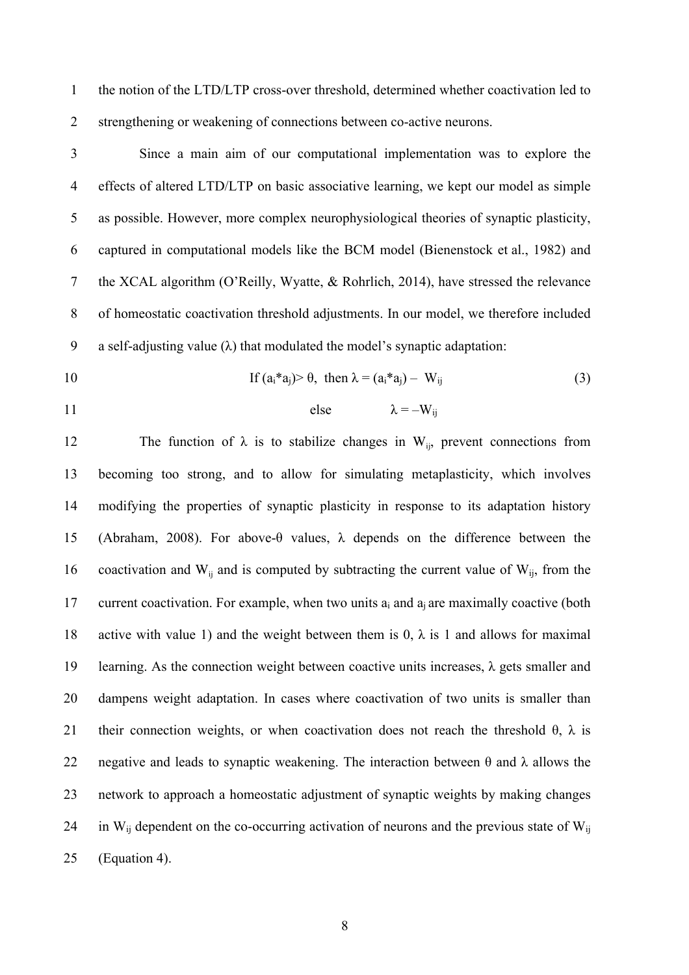the notion of the LTD/LTP cross-over threshold, determined whether coactivation led to strengthening or weakening of connections between co-active neurons.

 Since a main aim of our computational implementation was to explore the effects of altered LTD/LTP on basic associative learning, we kept our model as simple as possible. However, more complex neurophysiological theories of synaptic plasticity, captured in computational models like the BCM model (Bienenstock et al., 1982) and the XCAL algorithm (O'Reilly, Wyatte, & Rohrlich, 2014), have stressed the relevance of homeostatic coactivation threshold adjustments. In our model, we therefore included 9 a self-adjusting value ( $\lambda$ ) that modulated the model's synaptic adaptation:

- 
- 

10 If 
$$
(a_i^*a_j) > \theta
$$
, then  $\lambda = (a_i^*a_j) - W_{ij}$  (3)

$$
11 \t\t\t\t else \t\t\t\t \lambda = -W_{ij}
$$

12 The function of  $\lambda$  is to stabilize changes in W<sub>ii</sub>, prevent connections from becoming too strong, and to allow for simulating metaplasticity, which involves modifying the properties of synaptic plasticity in response to its adaptation history (Abraham, 2008). For above-θ values, λ depends on the difference between the 16 coactivation and  $W_{ii}$  and is computed by subtracting the current value of  $W_{ii}$ , from the current coactivation. For example, when two units ai and aj are maximally coactive (both 18 active with value 1) and the weight between them is 0,  $\lambda$  is 1 and allows for maximal 19 learning. As the connection weight between coactive units increases,  $\lambda$  gets smaller and dampens weight adaptation. In cases where coactivation of two units is smaller than 21 their connection weights, or when coactivation does not reach the threshold  $\theta$ ,  $\lambda$  is 22 negative and leads to synaptic weakening. The interaction between  $\theta$  and  $\lambda$  allows the network to approach a homeostatic adjustment of synaptic weights by making changes 24 in  $W_{ii}$  dependent on the co-occurring activation of neurons and the previous state of  $W_{ii}$ (Equation 4).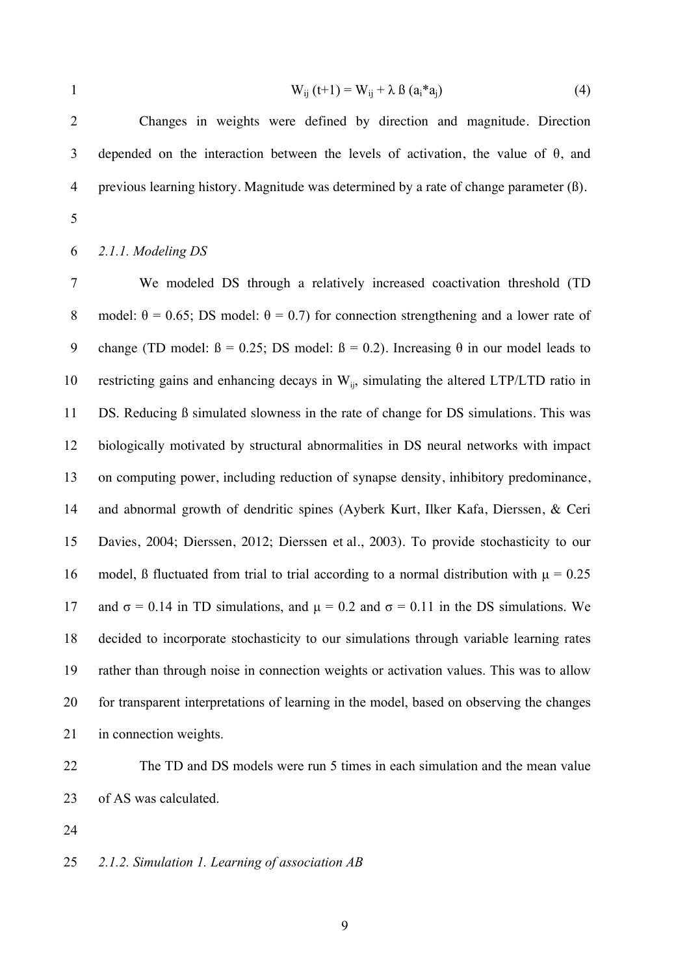$$
W_{ij} (t+1) = W_{ij} + \lambda \beta (a_i * a_j)
$$
 (4)

 Changes in weights were defined by direction and magnitude. Direction 3 depended on the interaction between the levels of activation, the value of  $\theta$ , and previous learning history. Magnitude was determined by a rate of change parameter (ß).

### *2.1.1. Modeling DS*

 We modeled DS through a relatively increased coactivation threshold (TD 8 model:  $\theta = 0.65$ ; DS model:  $\theta = 0.7$ ) for connection strengthening and a lower rate of 9 change (TD model:  $\beta = 0.25$ ; DS model:  $\beta = 0.2$ ). Increasing  $\theta$  in our model leads to 10 restricting gains and enhancing decays in  $W_{ii}$ , simulating the altered LTP/LTD ratio in DS. Reducing ß simulated slowness in the rate of change for DS simulations. This was biologically motivated by structural abnormalities in DS neural networks with impact on computing power, including reduction of synapse density, inhibitory predominance, and abnormal growth of dendritic spines (Ayberk Kurt, Ilker Kafa, Dierssen, & Ceri Davies, 2004; Dierssen, 2012; Dierssen et al., 2003). To provide stochasticity to our 16 model,  $\beta$  fluctuated from trial to trial according to a normal distribution with  $\mu = 0.25$ 17 and  $\sigma = 0.14$  in TD simulations, and  $\mu = 0.2$  and  $\sigma = 0.11$  in the DS simulations. We decided to incorporate stochasticity to our simulations through variable learning rates rather than through noise in connection weights or activation values. This was to allow for transparent interpretations of learning in the model, based on observing the changes in connection weights.

 The TD and DS models were run 5 times in each simulation and the mean value of AS was calculated.

*2.1.2. Simulation 1. Learning of association AB*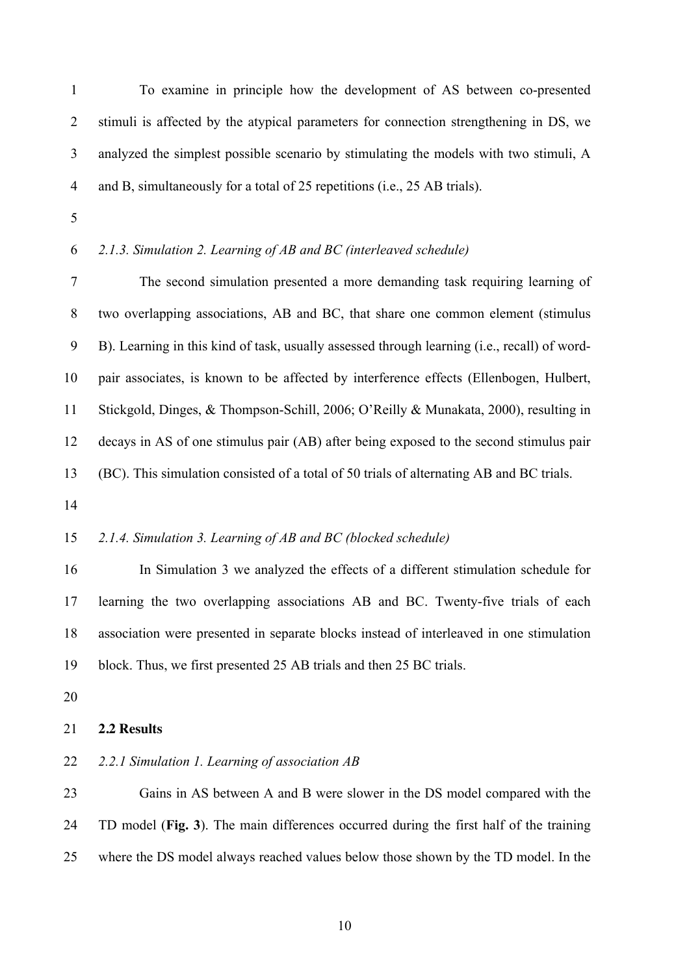To examine in principle how the development of AS between co-presented 2 stimuli is affected by the atypical parameters for connection strengthening in DS, we analyzed the simplest possible scenario by stimulating the models with two stimuli, A 4 and B, simultaneously for a total of 25 repetitions (i.e., 25 AB trials).

# *2.1.3. Simulation 2. Learning of AB and BC (interleaved schedule)*

 The second simulation presented a more demanding task requiring learning of two overlapping associations, AB and BC, that share one common element (stimulus B). Learning in this kind of task, usually assessed through learning (i.e., recall) of word- pair associates, is known to be affected by interference effects (Ellenbogen, Hulbert, Stickgold, Dinges, & Thompson-Schill, 2006; O'Reilly & Munakata, 2000), resulting in decays in AS of one stimulus pair (AB) after being exposed to the second stimulus pair (BC). This simulation consisted of a total of 50 trials of alternating AB and BC trials.

#### *2.1.4. Simulation 3. Learning of AB and BC (blocked schedule)*

 In Simulation 3 we analyzed the effects of a different stimulation schedule for learning the two overlapping associations AB and BC. Twenty-five trials of each association were presented in separate blocks instead of interleaved in one stimulation block. Thus, we first presented 25 AB trials and then 25 BC trials.

# **2.2 Results**

# *2.2.1 Simulation 1. Learning of association AB*

 Gains in AS between A and B were slower in the DS model compared with the TD model (**Fig. 3**). The main differences occurred during the first half of the training where the DS model always reached values below those shown by the TD model. In the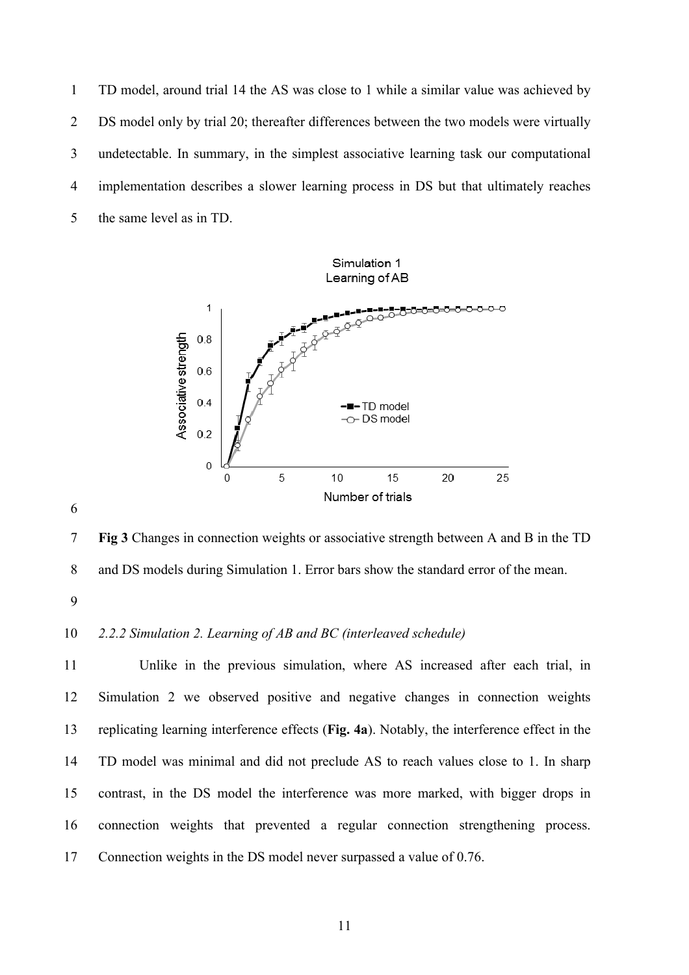TD model, around trial 14 the AS was close to 1 while a similar value was achieved by DS model only by trial 20; thereafter differences between the two models were virtually undetectable. In summary, in the simplest associative learning task our computational implementation describes a slower learning process in DS but that ultimately reaches the same level as in TD.



 **Fig 3** Changes in connection weights or associative strength between A and B in the TD and DS models during Simulation 1. Error bars show the standard error of the mean.

### *2.2.2 Simulation 2. Learning of AB and BC (interleaved schedule)*

 Unlike in the previous simulation, where AS increased after each trial, in Simulation 2 we observed positive and negative changes in connection weights replicating learning interference effects (**Fig. 4a**). Notably, the interference effect in the TD model was minimal and did not preclude AS to reach values close to 1. In sharp contrast, in the DS model the interference was more marked, with bigger drops in connection weights that prevented a regular connection strengthening process. Connection weights in the DS model never surpassed a value of 0.76.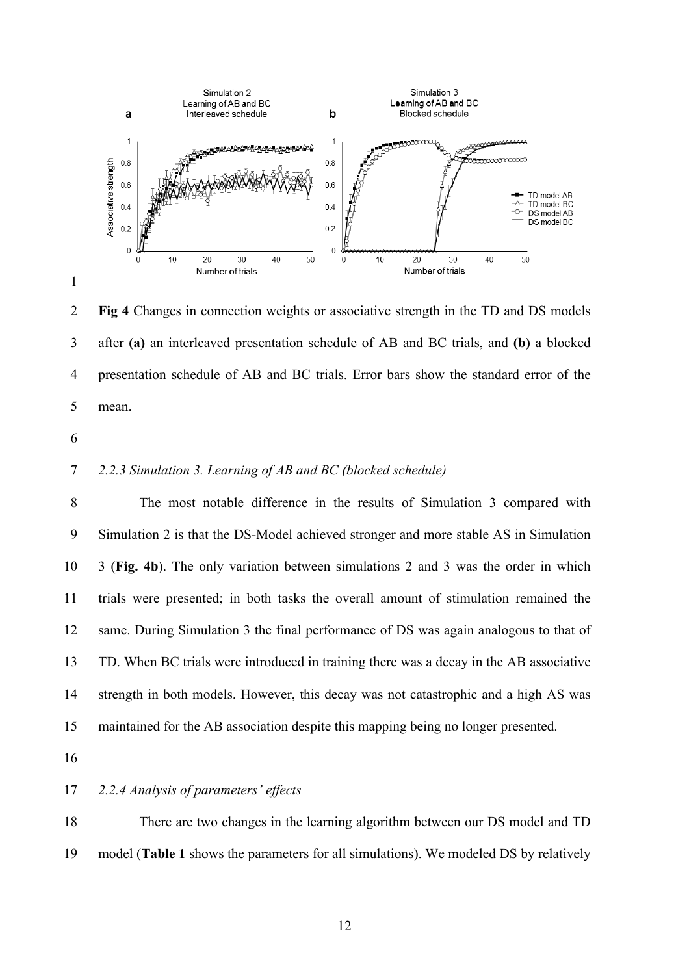

 **Fig 4** Changes in connection weights or associative strength in the TD and DS models after **(a)** an interleaved presentation schedule of AB and BC trials, and **(b)** a blocked presentation schedule of AB and BC trials. Error bars show the standard error of the mean.

### *2.2.3 Simulation 3. Learning of AB and BC (blocked schedule)*

 The most notable difference in the results of Simulation 3 compared with Simulation 2 is that the DS-Model achieved stronger and more stable AS in Simulation 3 (**Fig. 4b**). The only variation between simulations 2 and 3 was the order in which trials were presented; in both tasks the overall amount of stimulation remained the same. During Simulation 3 the final performance of DS was again analogous to that of TD. When BC trials were introduced in training there was a decay in the AB associative strength in both models. However, this decay was not catastrophic and a high AS was maintained for the AB association despite this mapping being no longer presented.

#### *2.2.4 Analysis of parameters' effects*

 There are two changes in the learning algorithm between our DS model and TD model (**Table 1** shows the parameters for all simulations). We modeled DS by relatively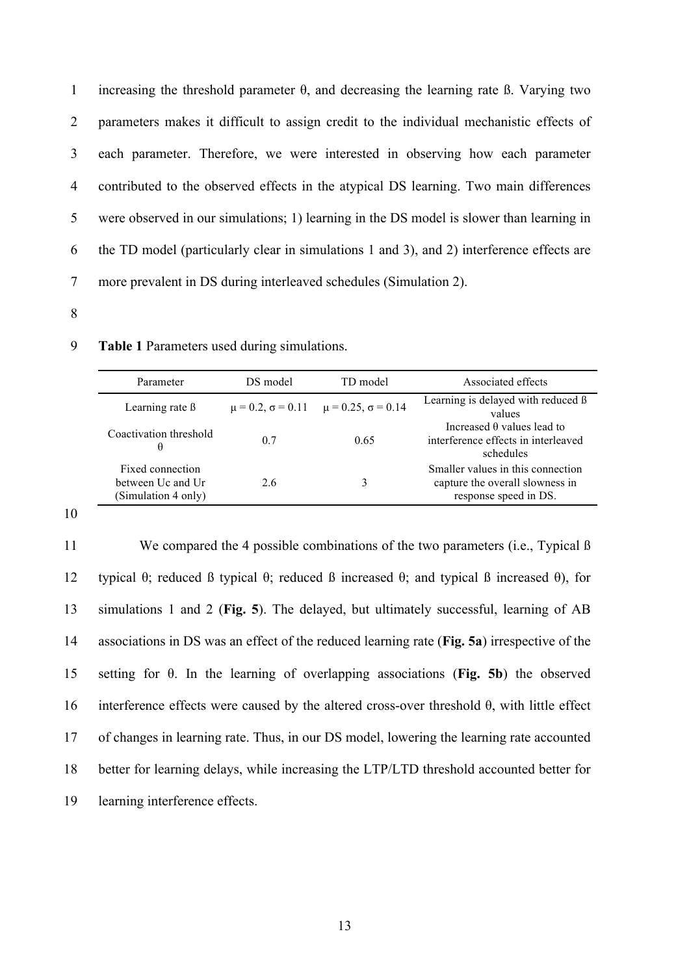1 increasing the threshold parameter  $\theta$ , and decreasing the learning rate  $\beta$ . Varying two parameters makes it difficult to assign credit to the individual mechanistic effects of each parameter. Therefore, we were interested in observing how each parameter contributed to the observed effects in the atypical DS learning. Two main differences were observed in our simulations; 1) learning in the DS model is slower than learning in the TD model (particularly clear in simulations 1 and 3), and 2) interference effects are more prevalent in DS during interleaved schedules (Simulation 2).

8

| Parameter                                                    | DS model | TD model                                                     | Associated effects                                                                            |
|--------------------------------------------------------------|----------|--------------------------------------------------------------|-----------------------------------------------------------------------------------------------|
| Learning rate $\beta$                                        |          | $\mu = 0.2$ , $\sigma = 0.11$ $\mu = 0.25$ , $\sigma = 0.14$ | Learning is delayed with reduced B<br>values                                                  |
| Coactivation threshold<br>θ                                  | 0.7      | 0.65                                                         | Increased $\theta$ values lead to<br>interference effects in interleaved<br>schedules         |
| Fixed connection<br>between Uc and Ur<br>(Simulation 4 only) | 26       | 3                                                            | Smaller values in this connection<br>capture the overall slowness in<br>response speed in DS. |

9 **Table 1** Parameters used during simulations.

10

 We compared the 4 possible combinations of the two parameters (i.e., Typical ß typical θ; reduced ß typical θ; reduced ß increased θ; and typical ß increased θ), for simulations 1 and 2 (**Fig. 5**). The delayed, but ultimately successful, learning of AB associations in DS was an effect of the reduced learning rate (**Fig. 5a**) irrespective of the setting for θ. In the learning of overlapping associations (**Fig. 5b**) the observed 16 interference effects were caused by the altered cross-over threshold  $\theta$ , with little effect of changes in learning rate. Thus, in our DS model, lowering the learning rate accounted better for learning delays, while increasing the LTP/LTD threshold accounted better for learning interference effects.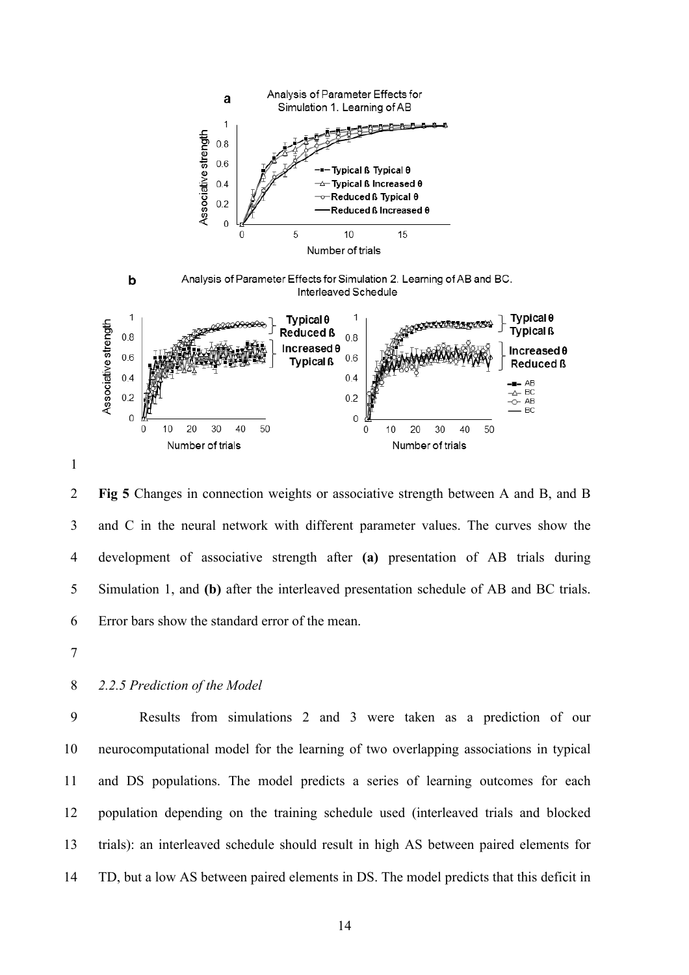

 **Fig 5** Changes in connection weights or associative strength between A and B, and B and C in the neural network with different parameter values. The curves show the development of associative strength after **(a)** presentation of AB trials during Simulation 1, and **(b)** after the interleaved presentation schedule of AB and BC trials. Error bars show the standard error of the mean.

# *2.2.5 Prediction of the Model*

 Results from simulations 2 and 3 were taken as a prediction of our neurocomputational model for the learning of two overlapping associations in typical and DS populations. The model predicts a series of learning outcomes for each population depending on the training schedule used (interleaved trials and blocked trials): an interleaved schedule should result in high AS between paired elements for TD, but a low AS between paired elements in DS. The model predicts that this deficit in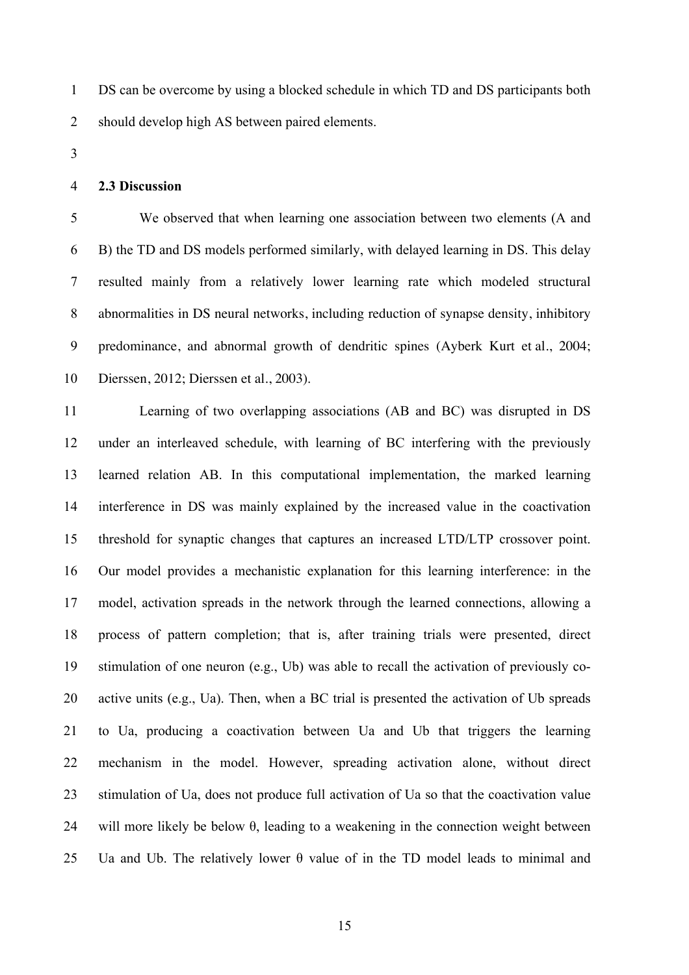DS can be overcome by using a blocked schedule in which TD and DS participants both should develop high AS between paired elements.

### **2.3 Discussion**

 We observed that when learning one association between two elements (A and B) the TD and DS models performed similarly, with delayed learning in DS. This delay resulted mainly from a relatively lower learning rate which modeled structural abnormalities in DS neural networks, including reduction of synapse density, inhibitory predominance, and abnormal growth of dendritic spines (Ayberk Kurt et al., 2004; Dierssen, 2012; Dierssen et al., 2003).

 Learning of two overlapping associations (AB and BC) was disrupted in DS under an interleaved schedule, with learning of BC interfering with the previously learned relation AB. In this computational implementation, the marked learning interference in DS was mainly explained by the increased value in the coactivation threshold for synaptic changes that captures an increased LTD/LTP crossover point. Our model provides a mechanistic explanation for this learning interference: in the model, activation spreads in the network through the learned connections, allowing a process of pattern completion; that is, after training trials were presented, direct stimulation of one neuron (e.g., Ub) was able to recall the activation of previously co- active units (e.g., Ua). Then, when a BC trial is presented the activation of Ub spreads to Ua, producing a coactivation between Ua and Ub that triggers the learning mechanism in the model. However, spreading activation alone, without direct stimulation of Ua, does not produce full activation of Ua so that the coactivation value 24 will more likely be below  $\theta$ , leading to a weakening in the connection weight between 25 Ua and Ub. The relatively lower  $\theta$  value of in the TD model leads to minimal and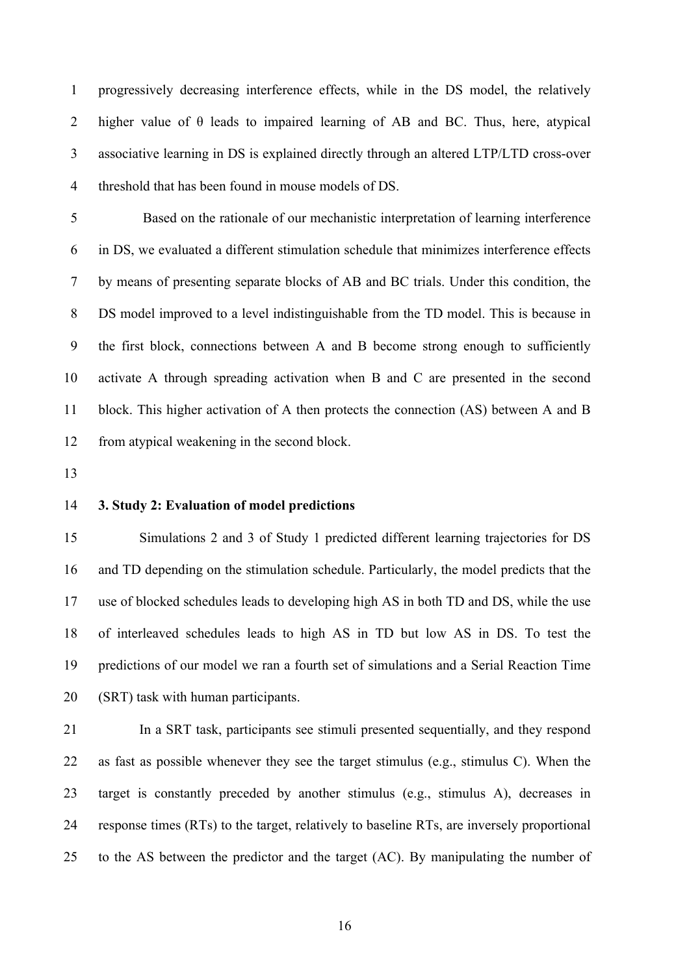progressively decreasing interference effects, while in the DS model, the relatively 2 higher value of  $\theta$  leads to impaired learning of AB and BC. Thus, here, atypical associative learning in DS is explained directly through an altered LTP/LTD cross-over threshold that has been found in mouse models of DS.

 Based on the rationale of our mechanistic interpretation of learning interference in DS, we evaluated a different stimulation schedule that minimizes interference effects by means of presenting separate blocks of AB and BC trials. Under this condition, the DS model improved to a level indistinguishable from the TD model. This is because in the first block, connections between A and B become strong enough to sufficiently activate A through spreading activation when B and C are presented in the second block. This higher activation of A then protects the connection (AS) between A and B from atypical weakening in the second block.

## **3. Study 2: Evaluation of model predictions**

 Simulations 2 and 3 of Study 1 predicted different learning trajectories for DS and TD depending on the stimulation schedule. Particularly, the model predicts that the use of blocked schedules leads to developing high AS in both TD and DS, while the use of interleaved schedules leads to high AS in TD but low AS in DS. To test the predictions of our model we ran a fourth set of simulations and a Serial Reaction Time (SRT) task with human participants.

 In a SRT task, participants see stimuli presented sequentially, and they respond as fast as possible whenever they see the target stimulus (e.g., stimulus C). When the target is constantly preceded by another stimulus (e.g., stimulus A), decreases in response times (RTs) to the target, relatively to baseline RTs, are inversely proportional to the AS between the predictor and the target (AC). By manipulating the number of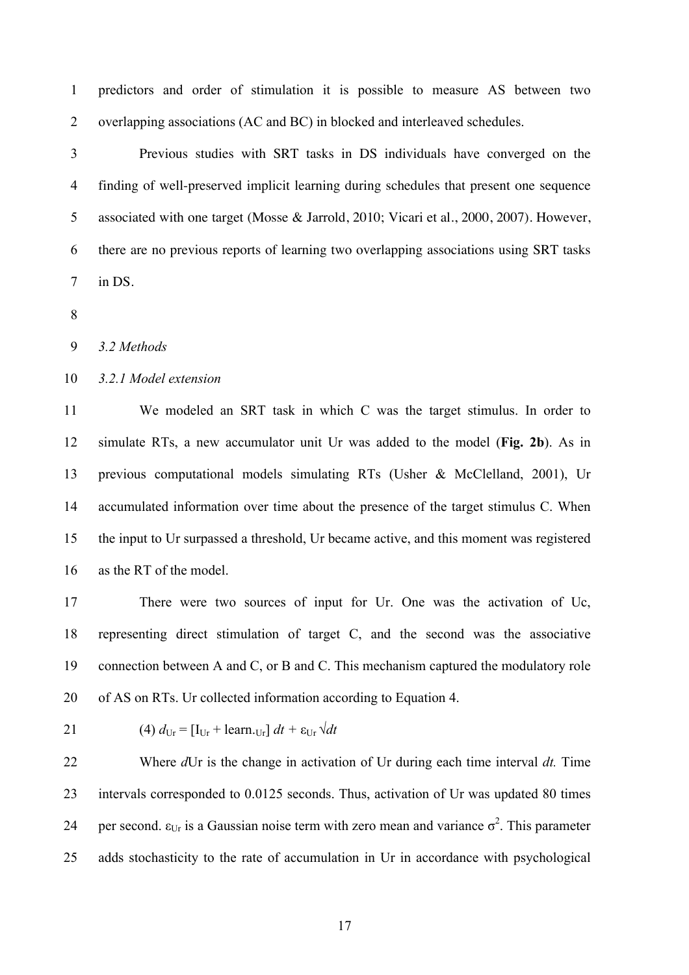predictors and order of stimulation it is possible to measure AS between two overlapping associations (AC and BC) in blocked and interleaved schedules.

 Previous studies with SRT tasks in DS individuals have converged on the finding of well-preserved implicit learning during schedules that present one sequence associated with one target (Mosse & Jarrold, 2010; Vicari et al., 2000, 2007). However, there are no previous reports of learning two overlapping associations using SRT tasks in DS.

*3.2 Methods*

#### *3.2.1 Model extension*

 We modeled an SRT task in which C was the target stimulus. In order to simulate RTs, a new accumulator unit Ur was added to the model (**Fig. 2b**). As in previous computational models simulating RTs (Usher & McClelland, 2001), Ur accumulated information over time about the presence of the target stimulus C. When the input to Ur surpassed a threshold, Ur became active, and this moment was registered as the RT of the model.

 There were two sources of input for Ur. One was the activation of Uc, representing direct stimulation of target C, and the second was the associative connection between A and C, or B and C. This mechanism captured the modulatory role of AS on RTs. Ur collected information according to Equation 4.

21 (4) 
$$
d_{\text{Ur}} = [\text{I}_{\text{Ur}} + \text{learn}_{\text{Ur}}] dt + \varepsilon_{\text{Ur}} \sqrt{dt}
$$

 Where *d*Ur is the change in activation of Ur during each time interval *dt.* Time intervals corresponded to 0.0125 seconds. Thus, activation of Ur was updated 80 times 24 per second.  $\varepsilon_{U_r}$  is a Gaussian noise term with zero mean and variance  $\sigma^2$ . This parameter adds stochasticity to the rate of accumulation in Ur in accordance with psychological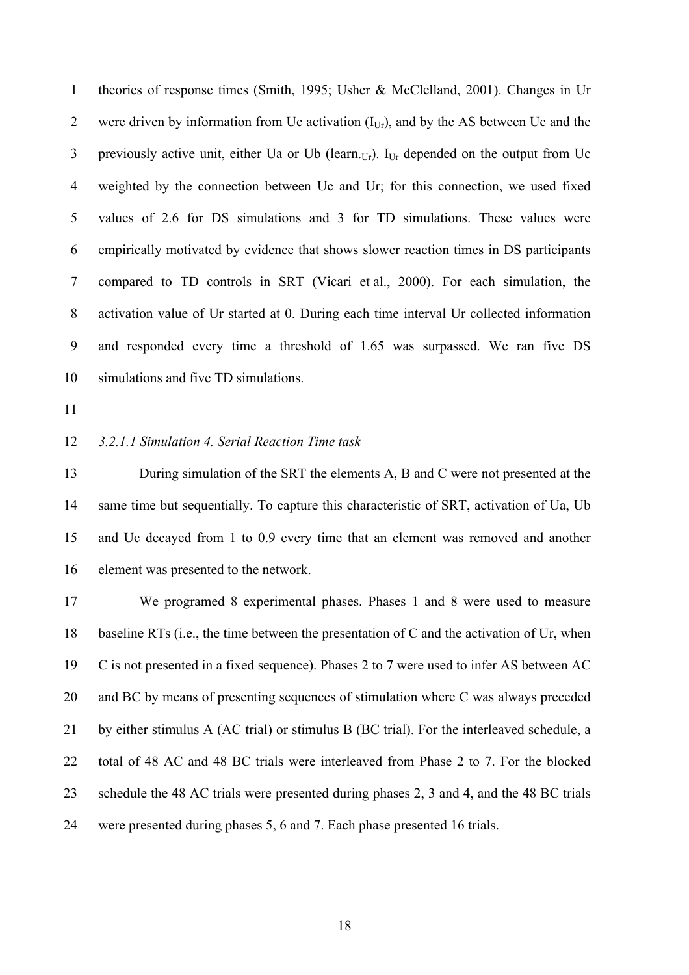theories of response times (Smith, 1995; Usher & McClelland, 2001). Changes in Ur 2 were driven by information from Uc activation  $(I_{U_r})$ , and by the AS between Uc and the 3 previously active unit, either Ua or Ub (learn. $_{Ur}$ ).  $I_{Ur}$  depended on the output from Uc weighted by the connection between Uc and Ur; for this connection, we used fixed values of 2.6 for DS simulations and 3 for TD simulations. These values were empirically motivated by evidence that shows slower reaction times in DS participants compared to TD controls in SRT (Vicari et al., 2000). For each simulation, the activation value of Ur started at 0. During each time interval Ur collected information and responded every time a threshold of 1.65 was surpassed. We ran five DS simulations and five TD simulations.

#### *3.2.1.1 Simulation 4. Serial Reaction Time task*

13 During simulation of the SRT the elements A, B and C were not presented at the same time but sequentially. To capture this characteristic of SRT, activation of Ua, Ub and Uc decayed from 1 to 0.9 every time that an element was removed and another element was presented to the network.

 We programed 8 experimental phases. Phases 1 and 8 were used to measure baseline RTs (i.e., the time between the presentation of C and the activation of Ur, when C is not presented in a fixed sequence). Phases 2 to 7 were used to infer AS between AC and BC by means of presenting sequences of stimulation where C was always preceded by either stimulus A (AC trial) or stimulus B (BC trial). For the interleaved schedule, a total of 48 AC and 48 BC trials were interleaved from Phase 2 to 7. For the blocked schedule the 48 AC trials were presented during phases 2, 3 and 4, and the 48 BC trials were presented during phases 5, 6 and 7. Each phase presented 16 trials.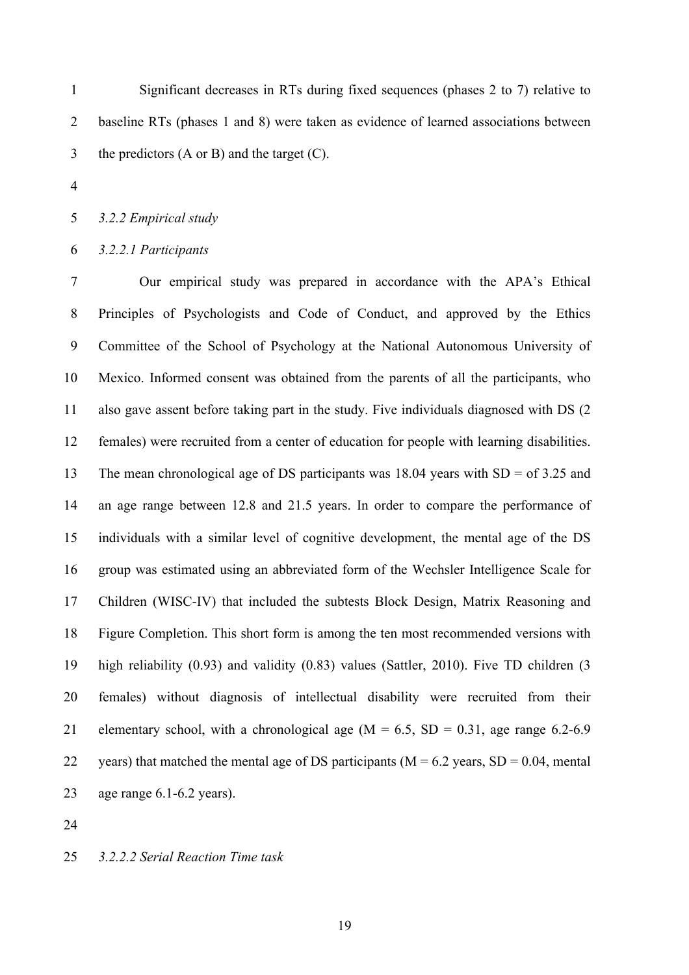Significant decreases in RTs during fixed sequences (phases 2 to 7) relative to baseline RTs (phases 1 and 8) were taken as evidence of learned associations between the predictors (A or B) and the target (C).

*3.2.2 Empirical study*

*3.2.2.1 Participants*

 Our empirical study was prepared in accordance with the APA's Ethical Principles of Psychologists and Code of Conduct, and approved by the Ethics Committee of the School of Psychology at the National Autonomous University of Mexico. Informed consent was obtained from the parents of all the participants, who also gave assent before taking part in the study. Five individuals diagnosed with DS (2 females) were recruited from a center of education for people with learning disabilities. The mean chronological age of DS participants was 18.04 years with SD = of 3.25 and an age range between 12.8 and 21.5 years. In order to compare the performance of individuals with a similar level of cognitive development, the mental age of the DS group was estimated using an abbreviated form of the Wechsler Intelligence Scale for Children (WISC-IV) that included the subtests Block Design, Matrix Reasoning and Figure Completion. This short form is among the ten most recommended versions with high reliability (0.93) and validity (0.83) values (Sattler, 2010). Five TD children (3 females) without diagnosis of intellectual disability were recruited from their 21 elementary school, with a chronological age  $(M = 6.5, SD = 0.31, age$  range 6.2-6.9 22 years) that matched the mental age of DS participants ( $M = 6.2$  years,  $SD = 0.04$ , mental age range 6.1-6.2 years).

*3.2.2.2 Serial Reaction Time task*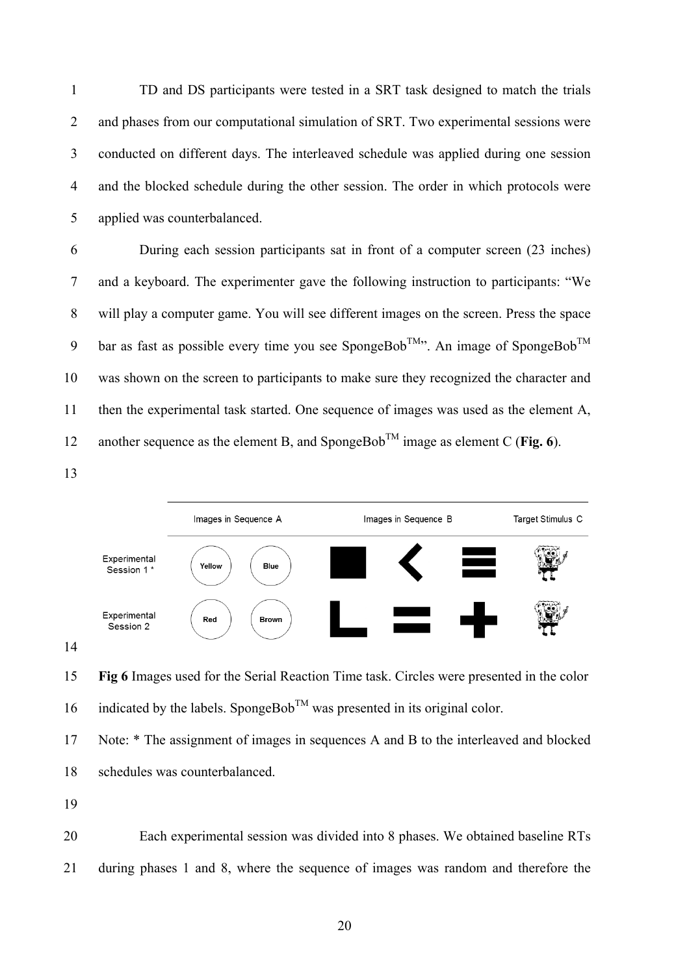TD and DS participants were tested in a SRT task designed to match the trials and phases from our computational simulation of SRT. Two experimental sessions were conducted on different days. The interleaved schedule was applied during one session and the blocked schedule during the other session. The order in which protocols were applied was counterbalanced.

 During each session participants sat in front of a computer screen (23 inches) and a keyboard. The experimenter gave the following instruction to participants: "We will play a computer game. You will see different images on the screen. Press the space 9 bar as fast as possible every time you see SpongeBob<sup>TM</sup><sup>3</sup>. An image of SpongeBob<sup>TM</sup> was shown on the screen to participants to make sure they recognized the character and then the experimental task started. One sequence of images was used as the element A, 12 another sequence as the element B, and SpongeBob<sup>TM</sup> image as element C (**Fig. 6**).



 **Fig 6** Images used for the Serial Reaction Time task. Circles were presented in the color 16 indicated by the labels. SpongeBob<sup>TM</sup> was presented in its original color.

 Note: \* The assignment of images in sequences A and B to the interleaved and blocked schedules was counterbalanced.

 Each experimental session was divided into 8 phases. We obtained baseline RTs during phases 1 and 8, where the sequence of images was random and therefore the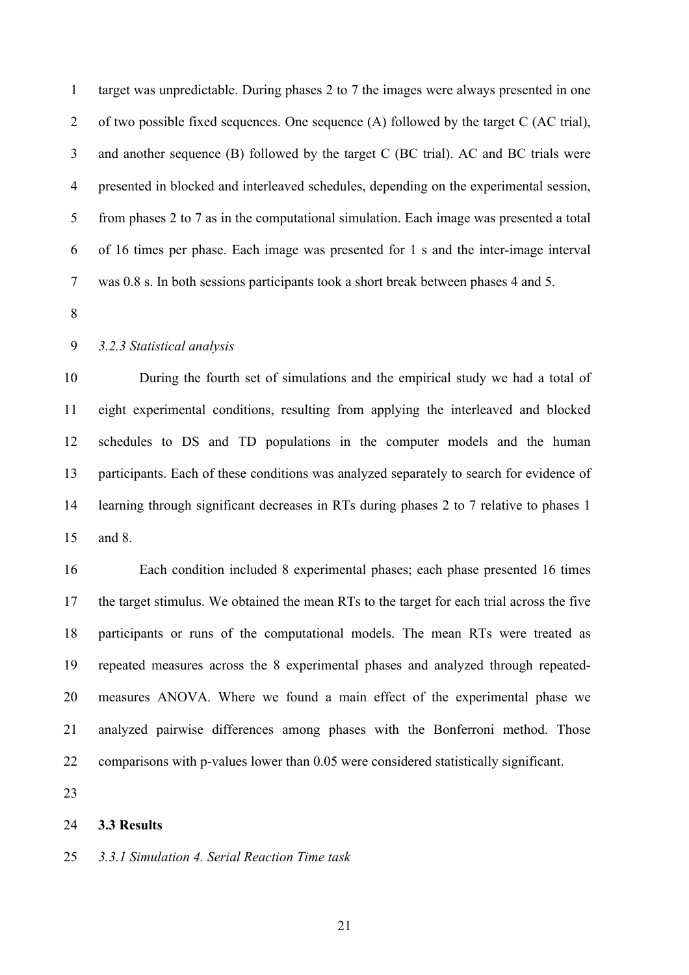target was unpredictable. During phases 2 to 7 the images were always presented in one of two possible fixed sequences. One sequence (A) followed by the target C (AC trial), and another sequence (B) followed by the target C (BC trial). AC and BC trials were presented in blocked and interleaved schedules, depending on the experimental session, from phases 2 to 7 as in the computational simulation. Each image was presented a total of 16 times per phase. Each image was presented for 1 s and the inter-image interval was 0.8 s. In both sessions participants took a short break between phases 4 and 5.

# *3.2.3 Statistical analysis*

 During the fourth set of simulations and the empirical study we had a total of eight experimental conditions, resulting from applying the interleaved and blocked schedules to DS and TD populations in the computer models and the human participants. Each of these conditions was analyzed separately to search for evidence of learning through significant decreases in RTs during phases 2 to 7 relative to phases 1 and 8.

 Each condition included 8 experimental phases; each phase presented 16 times the target stimulus. We obtained the mean RTs to the target for each trial across the five participants or runs of the computational models. The mean RTs were treated as repeated measures across the 8 experimental phases and analyzed through repeated- measures ANOVA. Where we found a main effect of the experimental phase we analyzed pairwise differences among phases with the Bonferroni method. Those comparisons with p-values lower than 0.05 were considered statistically significant.

#### **3.3 Results**

#### *3.3.1 Simulation 4. Serial Reaction Time task*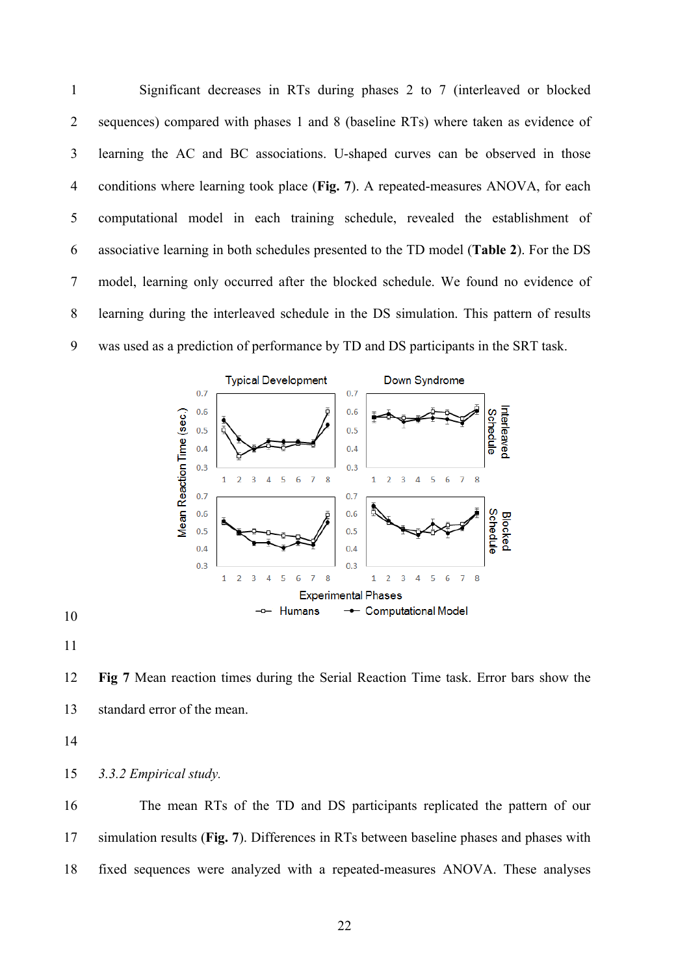Significant decreases in RTs during phases 2 to 7 (interleaved or blocked sequences) compared with phases 1 and 8 (baseline RTs) where taken as evidence of learning the AC and BC associations. U-shaped curves can be observed in those conditions where learning took place (**Fig. 7**). A repeated-measures ANOVA, for each computational model in each training schedule, revealed the establishment of associative learning in both schedules presented to the TD model (**Table 2**). For the DS model, learning only occurred after the blocked schedule. We found no evidence of learning during the interleaved schedule in the DS simulation. This pattern of results was used as a prediction of performance by TD and DS participants in the SRT task.





 **Fig 7** Mean reaction times during the Serial Reaction Time task. Error bars show the standard error of the mean.

*3.3.2 Empirical study.*

 The mean RTs of the TD and DS participants replicated the pattern of our simulation results (**Fig. 7**). Differences in RTs between baseline phases and phases with fixed sequences were analyzed with a repeated-measures ANOVA. These analyses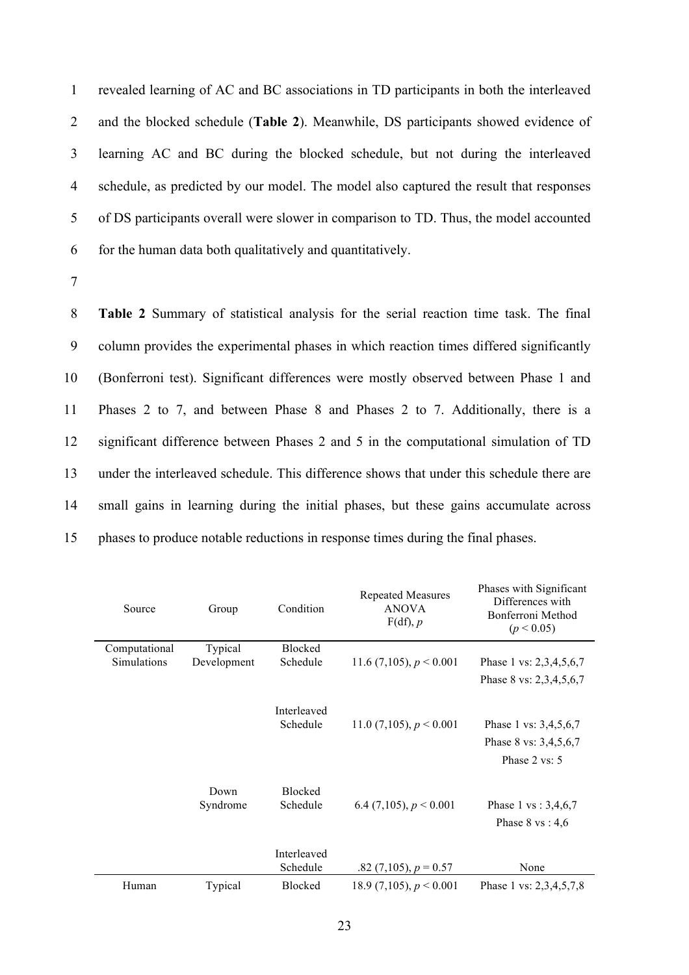revealed learning of AC and BC associations in TD participants in both the interleaved and the blocked schedule (**Table 2**). Meanwhile, DS participants showed evidence of learning AC and BC during the blocked schedule, but not during the interleaved schedule, as predicted by our model. The model also captured the result that responses of DS participants overall were slower in comparison to TD. Thus, the model accounted for the human data both qualitatively and quantitatively.

7

 **Table 2** Summary of statistical analysis for the serial reaction time task. The final column provides the experimental phases in which reaction times differed significantly (Bonferroni test). Significant differences were mostly observed between Phase 1 and Phases 2 to 7, and between Phase 8 and Phases 2 to 7. Additionally, there is a significant difference between Phases 2 and 5 in the computational simulation of TD under the interleaved schedule. This difference shows that under this schedule there are small gains in learning during the initial phases, but these gains accumulate across phases to produce notable reductions in response times during the final phases.

| Source        | Group            | Condition                  | <b>Repeated Measures</b><br><b>ANOVA</b><br>$F(df)$ , p | Phases with Significant<br>Differences with<br>Bonferroni Method<br>(p < 0.05) |
|---------------|------------------|----------------------------|---------------------------------------------------------|--------------------------------------------------------------------------------|
| Computational | Typical          | <b>Blocked</b>             |                                                         |                                                                                |
| Simulations   | Development      | Schedule                   | 11.6 (7,105), $p < 0.001$                               | Phase 1 vs: 2,3,4,5,6,7                                                        |
|               |                  |                            |                                                         | Phase 8 vs: 2,3,4,5,6,7                                                        |
|               |                  | Interleaved<br>Schedule    | 11.0 (7,105), $p < 0.001$                               | Phase 1 vs: 3,4,5,6,7<br>Phase 8 vs: 3,4,5,6,7<br>Phase 2 vs: 5                |
|               | Down<br>Syndrome | <b>Blocked</b><br>Schedule | 6.4 (7,105), $p < 0.001$                                | Phase 1 vs: $3,4,6,7$<br>Phase $8 \text{ vs } 4,6$                             |
|               |                  | Interleaved<br>Schedule    | .82 $(7,105)$ , $p = 0.57$                              | None                                                                           |
| Human         | Typical          | <b>Blocked</b>             | 18.9 (7,105), $p < 0.001$                               | Phase 1 vs: 2,3,4,5,7,8                                                        |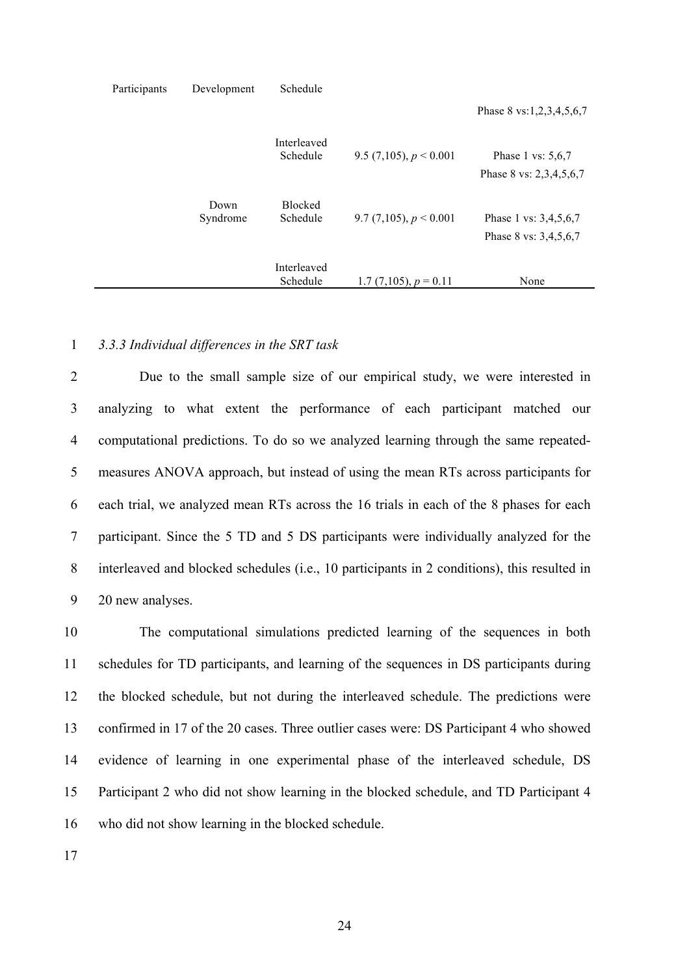| Participants | Development      | Schedule                |                            |                                                |
|--------------|------------------|-------------------------|----------------------------|------------------------------------------------|
|              |                  |                         |                            | Phase 8 vs:1,2,3,4,5,6,7                       |
|              |                  | Interleaved<br>Schedule | 9.5 (7,105), $p < 0.001$   | Phase 1 vs: $5,6,7$<br>Phase 8 vs: 2,3,4,5,6,7 |
|              | Down<br>Syndrome | Blocked<br>Schedule     | 9.7 (7,105), $p < 0.001$   | Phase 1 vs: 3,4,5,6,7<br>Phase 8 vs: 3,4,5,6,7 |
|              |                  | Interleaved<br>Schedule | 1.7 $(7,105)$ , $p = 0.11$ | None                                           |

#### 1 *3.3.3 Individual differences in the SRT task*

 Due to the small sample size of our empirical study, we were interested in analyzing to what extent the performance of each participant matched our computational predictions. To do so we analyzed learning through the same repeated- measures ANOVA approach, but instead of using the mean RTs across participants for each trial, we analyzed mean RTs across the 16 trials in each of the 8 phases for each participant. Since the 5 TD and 5 DS participants were individually analyzed for the interleaved and blocked schedules (i.e., 10 participants in 2 conditions), this resulted in 20 new analyses.

 The computational simulations predicted learning of the sequences in both schedules for TD participants, and learning of the sequences in DS participants during the blocked schedule, but not during the interleaved schedule. The predictions were confirmed in 17 of the 20 cases. Three outlier cases were: DS Participant 4 who showed evidence of learning in one experimental phase of the interleaved schedule, DS Participant 2 who did not show learning in the blocked schedule, and TD Participant 4 who did not show learning in the blocked schedule.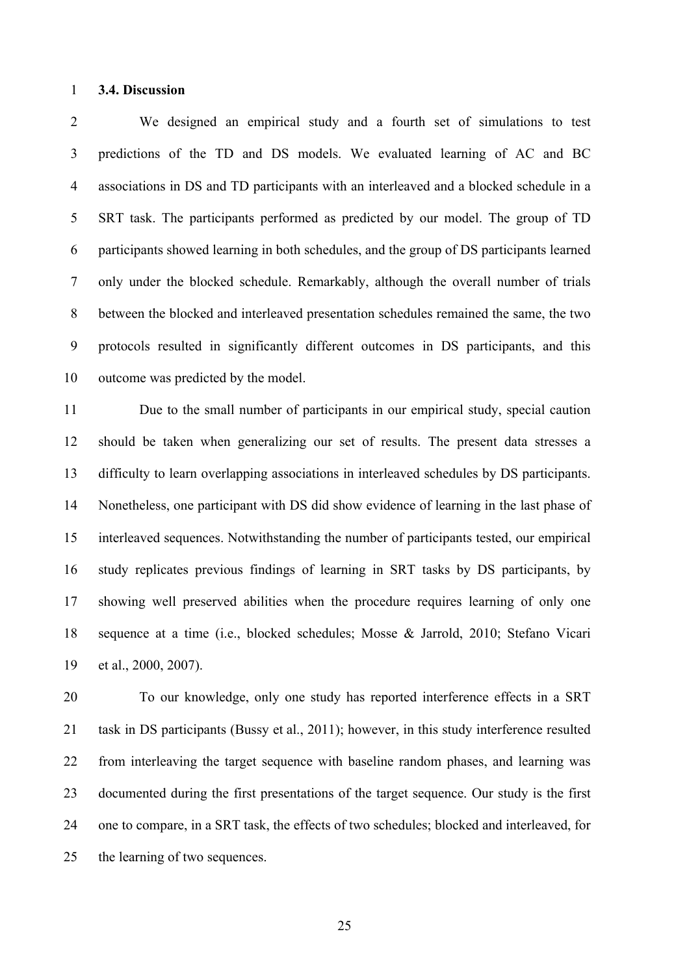#### **3.4. Discussion**

 We designed an empirical study and a fourth set of simulations to test predictions of the TD and DS models. We evaluated learning of AC and BC associations in DS and TD participants with an interleaved and a blocked schedule in a SRT task. The participants performed as predicted by our model. The group of TD participants showed learning in both schedules, and the group of DS participants learned only under the blocked schedule. Remarkably, although the overall number of trials between the blocked and interleaved presentation schedules remained the same, the two protocols resulted in significantly different outcomes in DS participants, and this outcome was predicted by the model.

 Due to the small number of participants in our empirical study, special caution should be taken when generalizing our set of results. The present data stresses a difficulty to learn overlapping associations in interleaved schedules by DS participants. Nonetheless, one participant with DS did show evidence of learning in the last phase of interleaved sequences. Notwithstanding the number of participants tested, our empirical study replicates previous findings of learning in SRT tasks by DS participants, by showing well preserved abilities when the procedure requires learning of only one sequence at a time (i.e., blocked schedules; Mosse & Jarrold, 2010; Stefano Vicari et al., 2000, 2007).

 To our knowledge, only one study has reported interference effects in a SRT 21 task in DS participants (Bussy et al., 2011); however, in this study interference resulted from interleaving the target sequence with baseline random phases, and learning was documented during the first presentations of the target sequence. Our study is the first one to compare, in a SRT task, the effects of two schedules; blocked and interleaved, for the learning of two sequences.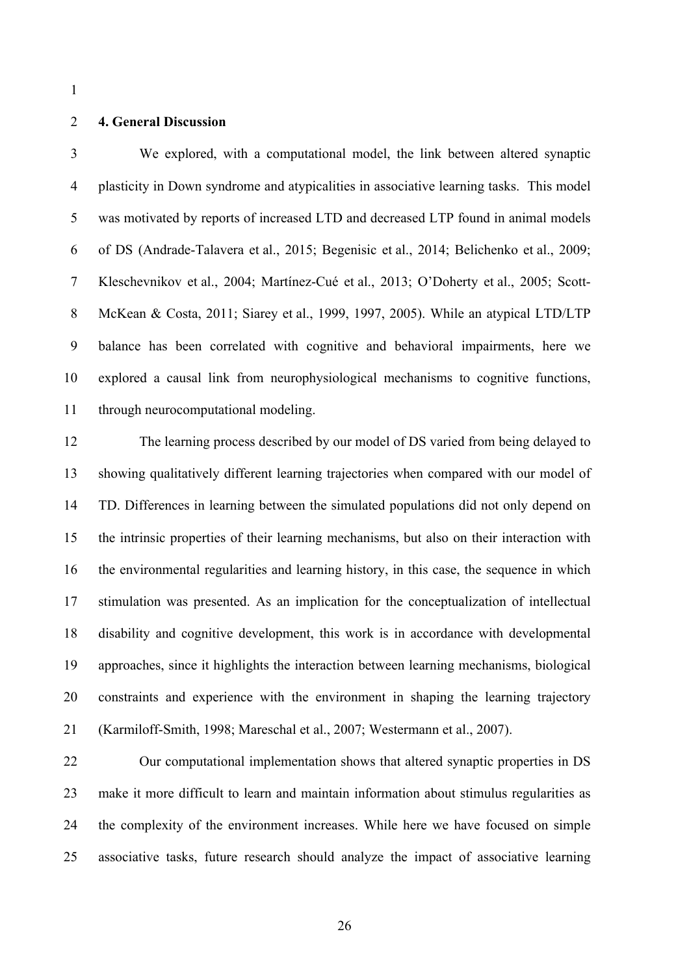#### **4. General Discussion**

 We explored, with a computational model, the link between altered synaptic plasticity in Down syndrome and atypicalities in associative learning tasks. This model was motivated by reports of increased LTD and decreased LTP found in animal models of DS (Andrade-Talavera et al., 2015; Begenisic et al., 2014; Belichenko et al., 2009; Kleschevnikov et al., 2004; Martínez-Cué et al., 2013; O'Doherty et al., 2005; Scott- McKean & Costa, 2011; Siarey et al., 1999, 1997, 2005). While an atypical LTD/LTP balance has been correlated with cognitive and behavioral impairments, here we explored a causal link from neurophysiological mechanisms to cognitive functions, through neurocomputational modeling.

 The learning process described by our model of DS varied from being delayed to showing qualitatively different learning trajectories when compared with our model of TD. Differences in learning between the simulated populations did not only depend on the intrinsic properties of their learning mechanisms, but also on their interaction with the environmental regularities and learning history, in this case, the sequence in which stimulation was presented. As an implication for the conceptualization of intellectual disability and cognitive development, this work is in accordance with developmental approaches, since it highlights the interaction between learning mechanisms, biological constraints and experience with the environment in shaping the learning trajectory (Karmiloff-Smith, 1998; Mareschal et al., 2007; Westermann et al., 2007).

 Our computational implementation shows that altered synaptic properties in DS make it more difficult to learn and maintain information about stimulus regularities as the complexity of the environment increases. While here we have focused on simple associative tasks, future research should analyze the impact of associative learning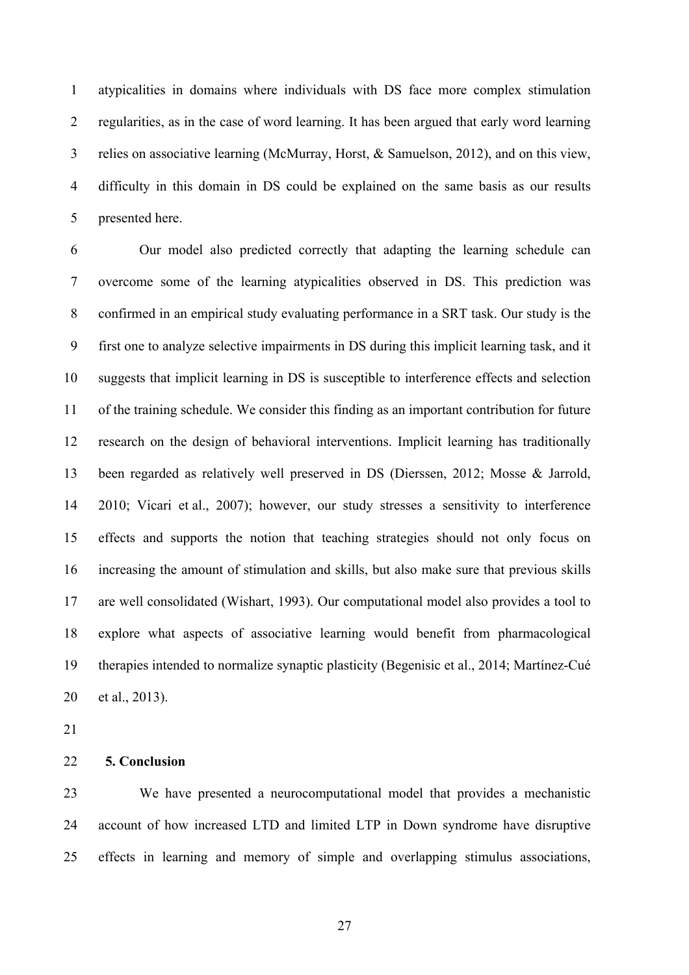atypicalities in domains where individuals with DS face more complex stimulation regularities, as in the case of word learning. It has been argued that early word learning relies on associative learning (McMurray, Horst, & Samuelson, 2012), and on this view, difficulty in this domain in DS could be explained on the same basis as our results presented here.

 Our model also predicted correctly that adapting the learning schedule can overcome some of the learning atypicalities observed in DS. This prediction was confirmed in an empirical study evaluating performance in a SRT task. Our study is the first one to analyze selective impairments in DS during this implicit learning task, and it suggests that implicit learning in DS is susceptible to interference effects and selection of the training schedule. We consider this finding as an important contribution for future research on the design of behavioral interventions. Implicit learning has traditionally been regarded as relatively well preserved in DS (Dierssen, 2012; Mosse & Jarrold, 2010; Vicari et al., 2007); however, our study stresses a sensitivity to interference effects and supports the notion that teaching strategies should not only focus on increasing the amount of stimulation and skills, but also make sure that previous skills are well consolidated (Wishart, 1993). Our computational model also provides a tool to explore what aspects of associative learning would benefit from pharmacological therapies intended to normalize synaptic plasticity (Begenisic et al., 2014; Martínez-Cué et al., 2013).

### **5. Conclusion**

 We have presented a neurocomputational model that provides a mechanistic account of how increased LTD and limited LTP in Down syndrome have disruptive effects in learning and memory of simple and overlapping stimulus associations,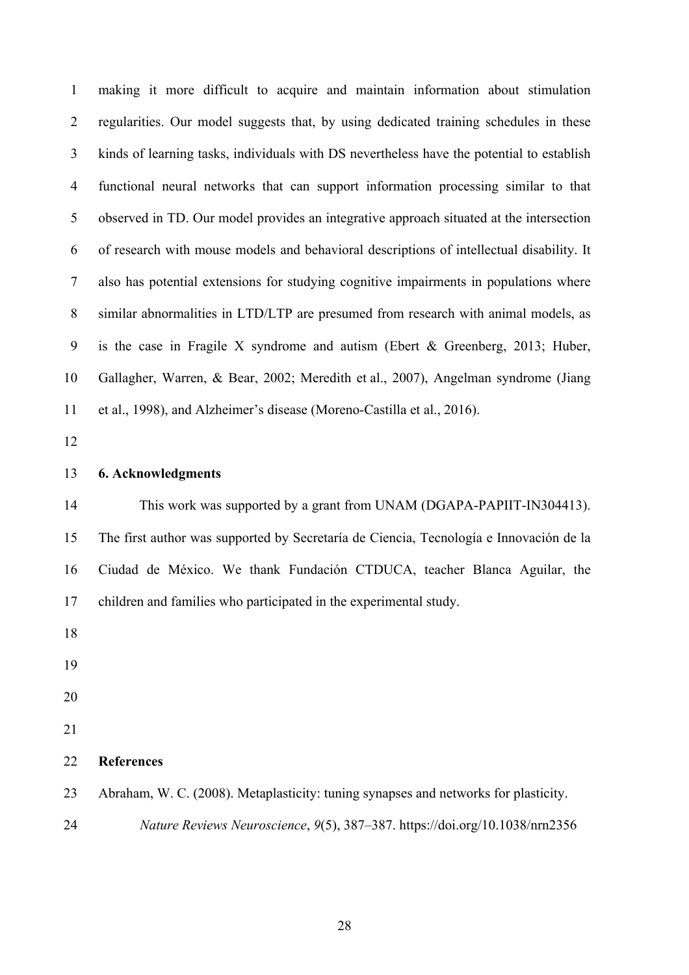making it more difficult to acquire and maintain information about stimulation regularities. Our model suggests that, by using dedicated training schedules in these kinds of learning tasks, individuals with DS nevertheless have the potential to establish functional neural networks that can support information processing similar to that observed in TD. Our model provides an integrative approach situated at the intersection of research with mouse models and behavioral descriptions of intellectual disability. It also has potential extensions for studying cognitive impairments in populations where similar abnormalities in LTD/LTP are presumed from research with animal models, as is the case in Fragile X syndrome and autism (Ebert & Greenberg, 2013; Huber, Gallagher, Warren, & Bear, 2002; Meredith et al., 2007), Angelman syndrome (Jiang et al., 1998), and Alzheimer's disease (Moreno-Castilla et al., 2016). **6. Acknowledgments** This work was supported by a grant from UNAM (DGAPA-PAPIIT-IN304413).

 The first author was supported by Secretaría de Ciencia, Tecnología e Innovación de la Ciudad de México. We thank Fundación CTDUCA, teacher Blanca Aguilar, the children and families who participated in the experimental study.

# **References**

Abraham, W. C. (2008). Metaplasticity: tuning synapses and networks for plasticity.

*Nature Reviews Neuroscience*, *9*(5), 387–387. https://doi.org/10.1038/nrn2356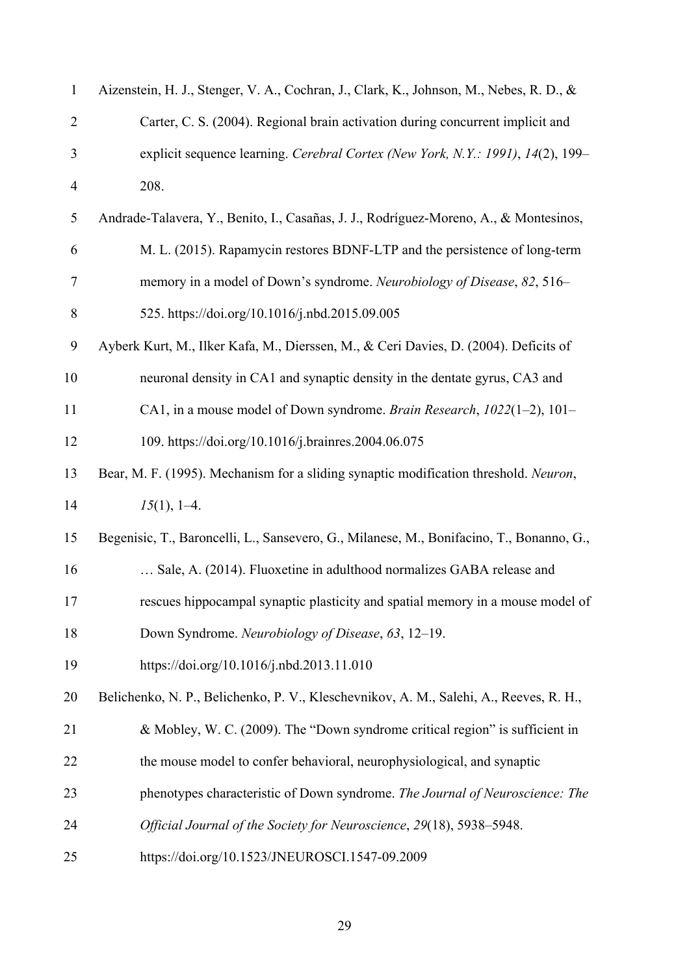| $\mathbf{1}$   | Aizenstein, H. J., Stenger, V. A., Cochran, J., Clark, K., Johnson, M., Nebes, R. D., &  |
|----------------|------------------------------------------------------------------------------------------|
| $\overline{2}$ | Carter, C. S. (2004). Regional brain activation during concurrent implicit and           |
| 3              | explicit sequence learning. Cerebral Cortex (New York, N.Y.: 1991), 14(2), 199-          |
| $\overline{4}$ | 208.                                                                                     |
| 5              | Andrade-Talavera, Y., Benito, I., Casañas, J. J., Rodríguez-Moreno, A., & Montesinos,    |
| 6              | M. L. (2015). Rapamycin restores BDNF-LTP and the persistence of long-term               |
| 7              | memory in a model of Down's syndrome. Neurobiology of Disease, 82, 516–                  |
| 8              | 525. https://doi.org/10.1016/j.nbd.2015.09.005                                           |
| 9              | Ayberk Kurt, M., Ilker Kafa, M., Dierssen, M., & Ceri Davies, D. (2004). Deficits of     |
| 10             | neuronal density in CA1 and synaptic density in the dentate gyrus, CA3 and               |
| 11             | CA1, in a mouse model of Down syndrome. Brain Research, 1022(1-2), 101-                  |
| 12             | 109. https://doi.org/10.1016/j.brainres.2004.06.075                                      |
| 13             | Bear, M. F. (1995). Mechanism for a sliding synaptic modification threshold. Neuron,     |
| 14             | $15(1), 1-4.$                                                                            |
| 15             | Begenisic, T., Baroncelli, L., Sansevero, G., Milanese, M., Bonifacino, T., Bonanno, G., |
| 16             | Sale, A. (2014). Fluoxetine in adulthood normalizes GABA release and                     |
| 17             | rescues hippocampal synaptic plasticity and spatial memory in a mouse model of           |
| 18             | Down Syndrome. Neurobiology of Disease, 63, 12–19.                                       |
| 19             | https://doi.org/10.1016/j.nbd.2013.11.010                                                |
| 20             | Belichenko, N. P., Belichenko, P. V., Kleschevnikov, A. M., Salehi, A., Reeves, R. H.,   |
| 21             | & Mobley, W. C. (2009). The "Down syndrome critical region" is sufficient in             |
| 22             | the mouse model to confer behavioral, neurophysiological, and synaptic                   |
| 23             | phenotypes characteristic of Down syndrome. The Journal of Neuroscience: The             |
| 24             | Official Journal of the Society for Neuroscience, 29(18), 5938-5948.                     |
| 25             | https://doi.org/10.1523/JNEUROSCI.1547-09.2009                                           |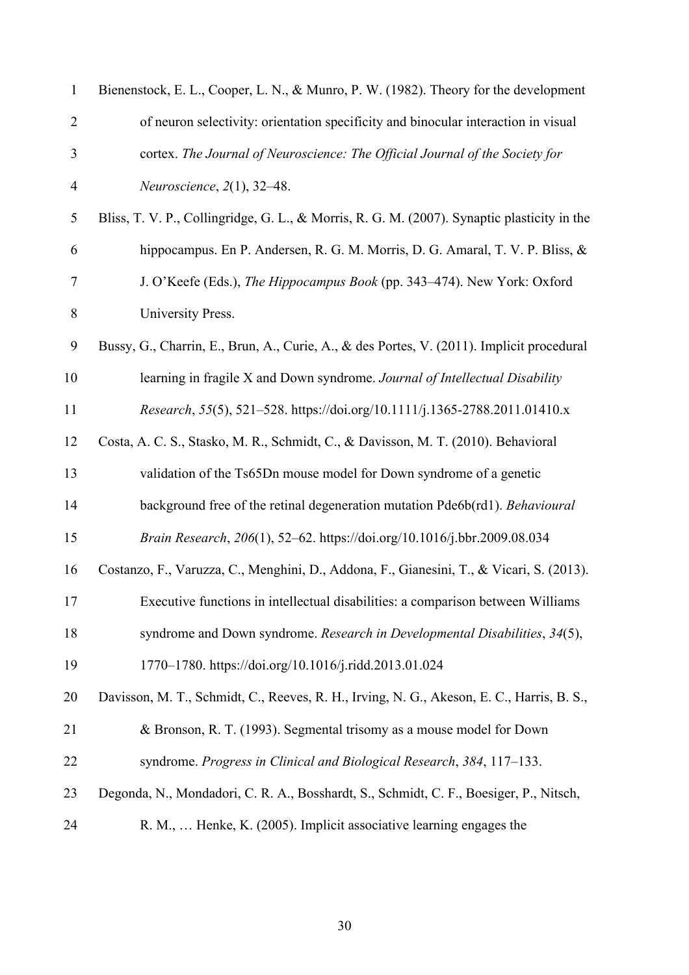| 1              | Bienenstock, E. L., Cooper, L. N., & Munro, P. W. (1982). Theory for the development        |
|----------------|---------------------------------------------------------------------------------------------|
| $\overline{2}$ | of neuron selectivity: orientation specificity and binocular interaction in visual          |
| 3              | cortex. The Journal of Neuroscience: The Official Journal of the Society for                |
| $\overline{4}$ | Neuroscience, $2(1)$ , 32-48.                                                               |
| $\sqrt{5}$     | Bliss, T. V. P., Collingridge, G. L., & Morris, R. G. M. (2007). Synaptic plasticity in the |
| 6              | hippocampus. En P. Andersen, R. G. M. Morris, D. G. Amaral, T. V. P. Bliss, &               |
| 7              | J. O'Keefe (Eds.), The Hippocampus Book (pp. 343-474). New York: Oxford                     |
| $\,$ $\,$      | University Press.                                                                           |
| 9              | Bussy, G., Charrin, E., Brun, A., Curie, A., & des Portes, V. (2011). Implicit procedural   |
| 10             | learning in fragile X and Down syndrome. Journal of Intellectual Disability                 |
| 11             | Research, 55(5), 521-528. https://doi.org/10.1111/j.1365-2788.2011.01410.x                  |
| 12             | Costa, A. C. S., Stasko, M. R., Schmidt, C., & Davisson, M. T. (2010). Behavioral           |
| 13             | validation of the Ts65Dn mouse model for Down syndrome of a genetic                         |
| 14             | background free of the retinal degeneration mutation Pde6b(rd1). Behavioural                |
| 15             | Brain Research, 206(1), 52-62. https://doi.org/10.1016/j.bbr.2009.08.034                    |
| 16             | Costanzo, F., Varuzza, C., Menghini, D., Addona, F., Gianesini, T., & Vicari, S. (2013).    |
| 17             | Executive functions in intellectual disabilities: a comparison between Williams             |
| 18             | syndrome and Down syndrome. Research in Developmental Disabilities, 34(5),                  |
| 19             | 1770-1780. https://doi.org/10.1016/j.ridd.2013.01.024                                       |
| 20             | Davisson, M. T., Schmidt, C., Reeves, R. H., Irving, N. G., Akeson, E. C., Harris, B. S.,   |
| 21             | & Bronson, R. T. (1993). Segmental trisomy as a mouse model for Down                        |
| 22             | syndrome. Progress in Clinical and Biological Research, 384, 117–133.                       |
| 23             | Degonda, N., Mondadori, C. R. A., Bosshardt, S., Schmidt, C. F., Boesiger, P., Nitsch,      |
| 24             | R. M.,  Henke, K. (2005). Implicit associative learning engages the                         |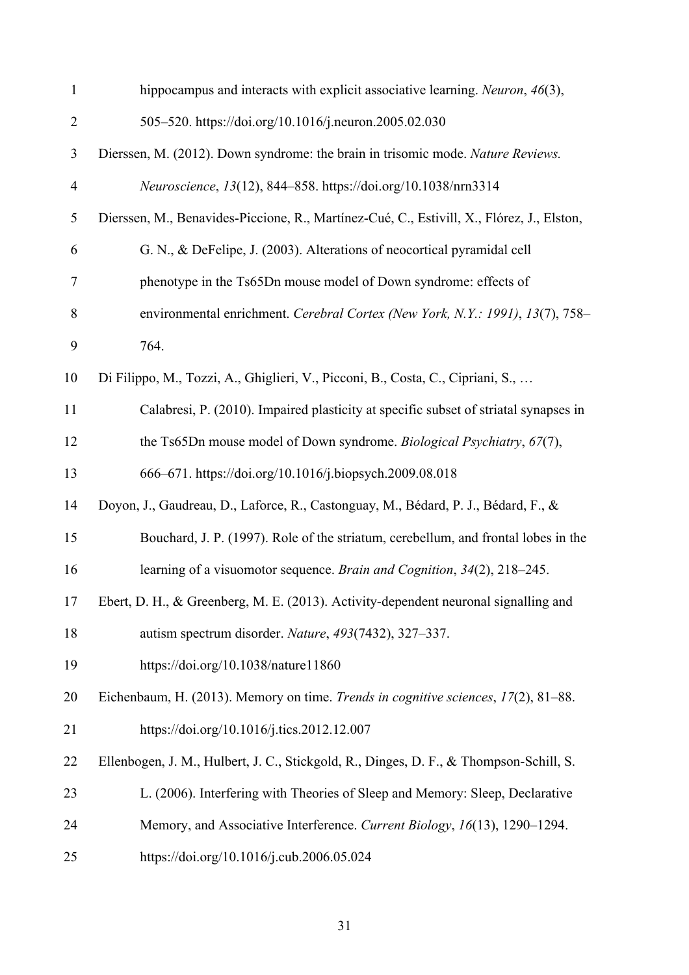| $\mathbf{1}$   | hippocampus and interacts with explicit associative learning. Neuron, 46(3),              |
|----------------|-------------------------------------------------------------------------------------------|
| $\overline{2}$ | 505-520. https://doi.org/10.1016/j.neuron.2005.02.030                                     |
| 3              | Dierssen, M. (2012). Down syndrome: the brain in trisomic mode. Nature Reviews.           |
| $\overline{4}$ | Neuroscience, 13(12), 844-858. https://doi.org/10.1038/nrn3314                            |
| 5              | Dierssen, M., Benavides-Piccione, R., Martínez-Cué, C., Estivill, X., Flórez, J., Elston, |
| 6              | G. N., & DeFelipe, J. (2003). Alterations of neocortical pyramidal cell                   |
| 7              | phenotype in the Ts65Dn mouse model of Down syndrome: effects of                          |
| 8              | environmental enrichment. Cerebral Cortex (New York, N.Y.: 1991), 13(7), 758-             |
| 9              | 764.                                                                                      |
| 10             | Di Filippo, M., Tozzi, A., Ghiglieri, V., Picconi, B., Costa, C., Cipriani, S.,           |
| 11             | Calabresi, P. (2010). Impaired plasticity at specific subset of striatal synapses in      |
| 12             | the Ts65Dn mouse model of Down syndrome. Biological Psychiatry, 67(7),                    |
| 13             | 666–671. https://doi.org/10.1016/j.biopsych.2009.08.018                                   |
| 14             | Doyon, J., Gaudreau, D., Laforce, R., Castonguay, M., Bédard, P. J., Bédard, F., &        |
| 15             | Bouchard, J. P. (1997). Role of the striatum, cerebellum, and frontal lobes in the        |
| 16             | learning of a visuomotor sequence. Brain and Cognition, 34(2), 218-245.                   |
| 17             | Ebert, D. H., & Greenberg, M. E. (2013). Activity-dependent neuronal signalling and       |
| 18             | autism spectrum disorder. Nature, 493(7432), 327–337.                                     |
| 19             | https://doi.org/10.1038/nature11860                                                       |
| 20             | Eichenbaum, H. (2013). Memory on time. Trends in cognitive sciences, 17(2), 81–88.        |
| 21             | https://doi.org/10.1016/j.tics.2012.12.007                                                |
| 22             | Ellenbogen, J. M., Hulbert, J. C., Stickgold, R., Dinges, D. F., & Thompson-Schill, S.    |
| 23             | L. (2006). Interfering with Theories of Sleep and Memory: Sleep, Declarative              |
| 24             | Memory, and Associative Interference. Current Biology, 16(13), 1290-1294.                 |
| 25             | https://doi.org/10.1016/j.cub.2006.05.024                                                 |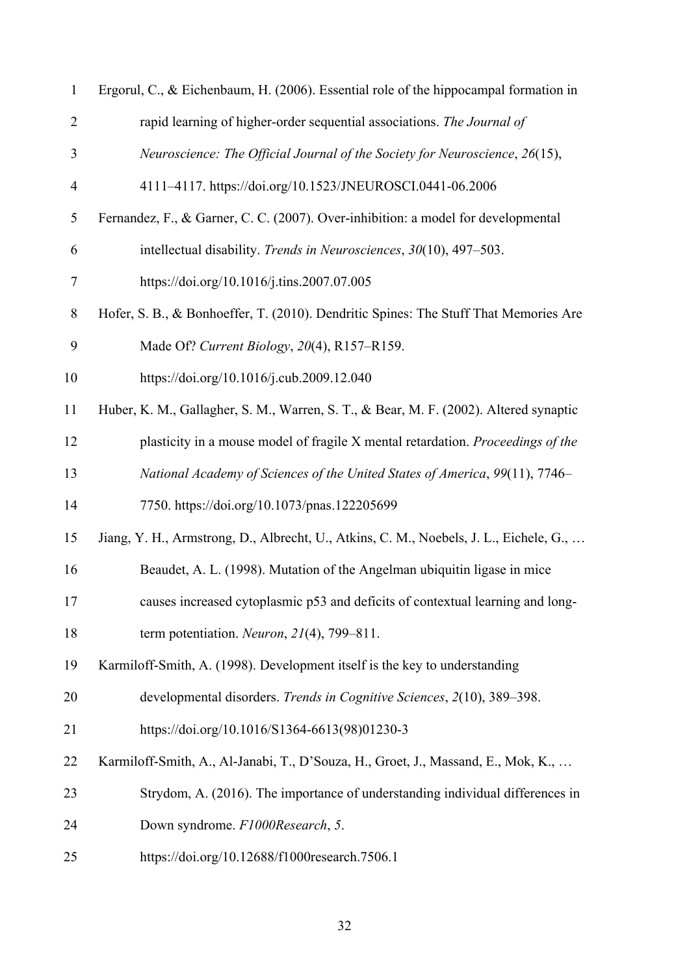| 1              | Ergorul, C., & Eichenbaum, H. (2006). Essential role of the hippocampal formation in   |
|----------------|----------------------------------------------------------------------------------------|
| $\overline{2}$ | rapid learning of higher-order sequential associations. The Journal of                 |
| 3              | Neuroscience: The Official Journal of the Society for Neuroscience, 26(15),            |
| $\overline{4}$ | 4111-4117. https://doi.org/10.1523/JNEUROSCI.0441-06.2006                              |
| 5              | Fernandez, F., & Garner, C. C. (2007). Over-inhibition: a model for developmental      |
| 6              | intellectual disability. Trends in Neurosciences, 30(10), 497-503.                     |
| $\tau$         | https://doi.org/10.1016/j.tins.2007.07.005                                             |
| $8\,$          | Hofer, S. B., & Bonhoeffer, T. (2010). Dendritic Spines: The Stuff That Memories Are   |
| 9              | Made Of? Current Biology, 20(4), R157-R159.                                            |
| 10             | https://doi.org/10.1016/j.cub.2009.12.040                                              |
| 11             | Huber, K. M., Gallagher, S. M., Warren, S. T., & Bear, M. F. (2002). Altered synaptic  |
| 12             | plasticity in a mouse model of fragile X mental retardation. Proceedings of the        |
| 13             | National Academy of Sciences of the United States of America, 99(11), 7746-            |
| 14             | 7750. https://doi.org/10.1073/pnas.122205699                                           |
| 15             | Jiang, Y. H., Armstrong, D., Albrecht, U., Atkins, C. M., Noebels, J. L., Eichele, G., |
| 16             | Beaudet, A. L. (1998). Mutation of the Angelman ubiquitin ligase in mice               |
| 17             | causes increased cytoplasmic p53 and deficits of contextual learning and long-         |
| 18             | term potentiation. Neuron, $21(4)$ , 799-811.                                          |
| 19             | Karmiloff-Smith, A. (1998). Development itself is the key to understanding             |
| 20             | developmental disorders. Trends in Cognitive Sciences, 2(10), 389–398.                 |
| 21             | https://doi.org/10.1016/S1364-6613(98)01230-3                                          |
| 22             | Karmiloff-Smith, A., Al-Janabi, T., D'Souza, H., Groet, J., Massand, E., Mok, K.,      |
| 23             | Strydom, A. (2016). The importance of understanding individual differences in          |
| 24             | Down syndrome. F1000Research, 5.                                                       |
| 25             | https://doi.org/10.12688/f1000research.7506.1                                          |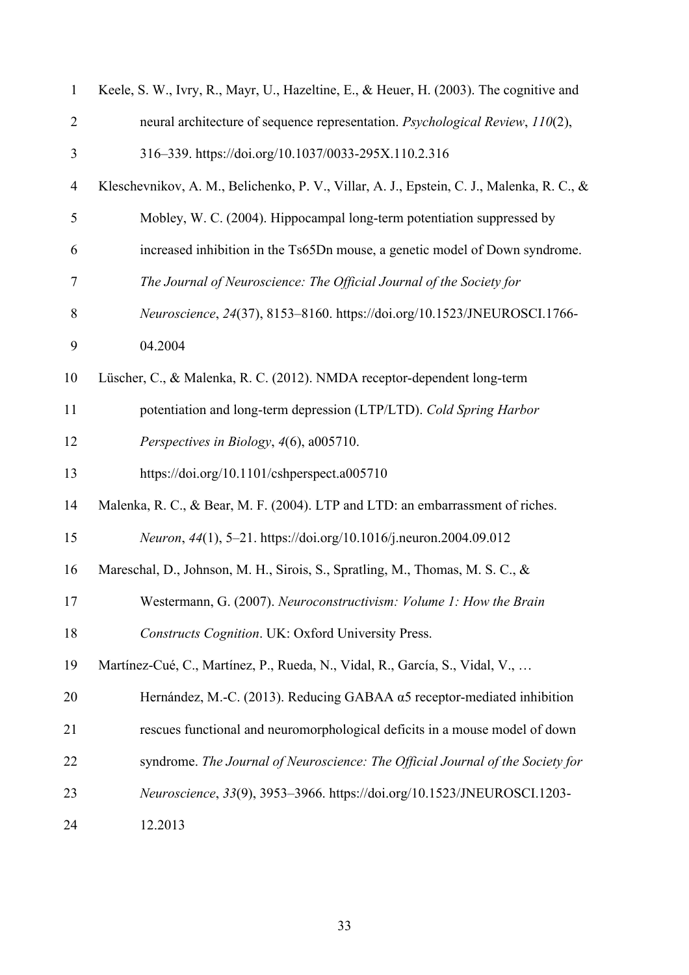| $\mathbf{1}$   | Keele, S. W., Ivry, R., Mayr, U., Hazeltine, E., & Heuer, H. (2003). The cognitive and    |
|----------------|-------------------------------------------------------------------------------------------|
| $\overline{2}$ | neural architecture of sequence representation. Psychological Review, 110(2),             |
| 3              | 316-339. https://doi.org/10.1037/0033-295X.110.2.316                                      |
| $\overline{4}$ | Kleschevnikov, A. M., Belichenko, P. V., Villar, A. J., Epstein, C. J., Malenka, R. C., & |
| 5              | Mobley, W. C. (2004). Hippocampal long-term potentiation suppressed by                    |
| 6              | increased inhibition in the Ts65Dn mouse, a genetic model of Down syndrome.               |
| 7              | The Journal of Neuroscience: The Official Journal of the Society for                      |
| $\,$ $\,$      | Neuroscience, 24(37), 8153-8160. https://doi.org/10.1523/JNEUROSCI.1766-                  |
| 9              | 04.2004                                                                                   |
| 10             | Lüscher, C., & Malenka, R. C. (2012). NMDA receptor-dependent long-term                   |
| 11             | potentiation and long-term depression (LTP/LTD). Cold Spring Harbor                       |
| 12             | Perspectives in Biology, 4(6), a005710.                                                   |
| 13             | https://doi.org/10.1101/cshperspect.a005710                                               |
| 14             | Malenka, R. C., & Bear, M. F. (2004). LTP and LTD: an embarrassment of riches.            |
| 15             | Neuron, 44(1), 5-21. https://doi.org/10.1016/j.neuron.2004.09.012                         |
| 16             | Mareschal, D., Johnson, M. H., Sirois, S., Spratling, M., Thomas, M. S. C., &             |
| 17             | Westermann, G. (2007). Neuroconstructivism: Volume 1: How the Brain                       |
| 18             | <b>Constructs Cognition. UK: Oxford University Press.</b>                                 |
| 19             | Martínez-Cué, C., Martínez, P., Rueda, N., Vidal, R., García, S., Vidal, V.,              |
| 20             | Hernández, M.-C. (2013). Reducing GABAA $\alpha$ 5 receptor-mediated inhibition           |
| 21             | rescues functional and neuromorphological deficits in a mouse model of down               |
| 22             | syndrome. The Journal of Neuroscience: The Official Journal of the Society for            |
| 23             | Neuroscience, 33(9), 3953-3966. https://doi.org/10.1523/JNEUROSCI.1203-                   |
| 24             | 12.2013                                                                                   |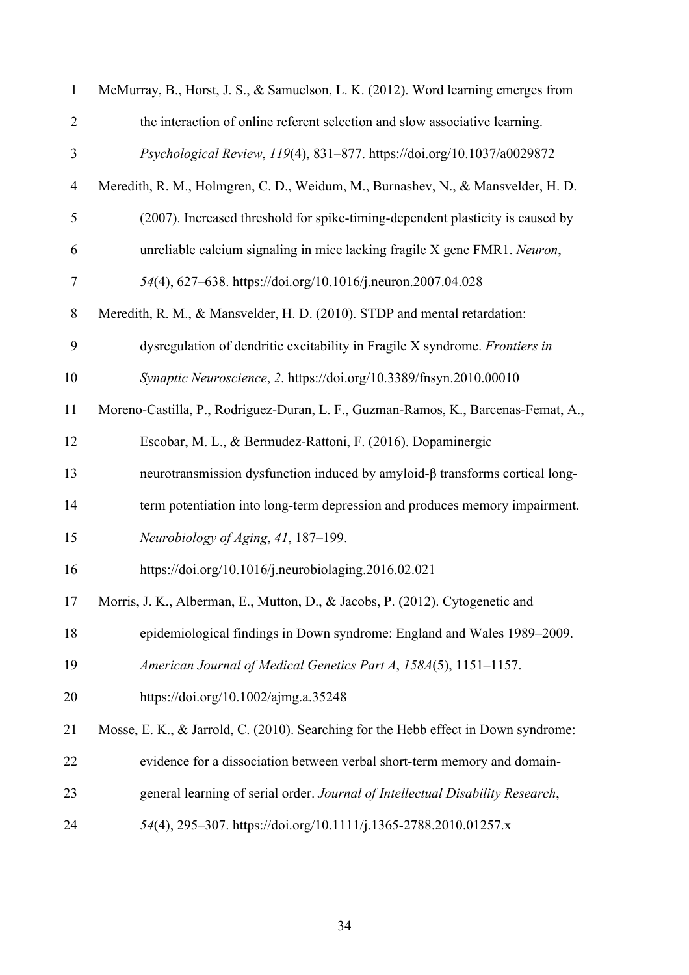| $\mathbf{1}$   | McMurray, B., Horst, J. S., & Samuelson, L. K. (2012). Word learning emerges from   |
|----------------|-------------------------------------------------------------------------------------|
| $\overline{2}$ | the interaction of online referent selection and slow associative learning.         |
| 3              | Psychological Review, 119(4), 831-877. https://doi.org/10.1037/a0029872             |
| $\overline{4}$ | Meredith, R. M., Holmgren, C. D., Weidum, M., Burnashev, N., & Mansvelder, H. D.    |
| 5              | (2007). Increased threshold for spike-timing-dependent plasticity is caused by      |
| 6              | unreliable calcium signaling in mice lacking fragile X gene FMR1. Neuron,           |
| 7              | 54(4), 627–638. https://doi.org/10.1016/j.neuron.2007.04.028                        |
| 8              | Meredith, R. M., & Mansvelder, H. D. (2010). STDP and mental retardation:           |
| 9              | dysregulation of dendritic excitability in Fragile X syndrome. Frontiers in         |
| 10             | Synaptic Neuroscience, 2. https://doi.org/10.3389/fnsyn.2010.00010                  |
| 11             | Moreno-Castilla, P., Rodriguez-Duran, L. F., Guzman-Ramos, K., Barcenas-Femat, A.,  |
| 12             | Escobar, M. L., & Bermudez-Rattoni, F. (2016). Dopaminergic                         |
| 13             | neurotransmission dysfunction induced by amyloid-β transforms cortical long-        |
| 14             | term potentiation into long-term depression and produces memory impairment.         |
| 15             | Neurobiology of Aging, 41, 187-199.                                                 |
| 16             | https://doi.org/10.1016/j.neurobiolaging.2016.02.021                                |
| 17             | Morris, J. K., Alberman, E., Mutton, D., & Jacobs, P. (2012). Cytogenetic and       |
| 18             | epidemiological findings in Down syndrome: England and Wales 1989–2009.             |
| 19             | American Journal of Medical Genetics Part A, 158A(5), 1151-1157.                    |
| 20             | https://doi.org/10.1002/ajmg.a.35248                                                |
| 21             | Mosse, E. K., & Jarrold, C. (2010). Searching for the Hebb effect in Down syndrome: |
| 22             | evidence for a dissociation between verbal short-term memory and domain-            |
| 23             | general learning of serial order. Journal of Intellectual Disability Research,      |
| 24             | 54(4), 295-307. https://doi.org/10.1111/j.1365-2788.2010.01257.x                    |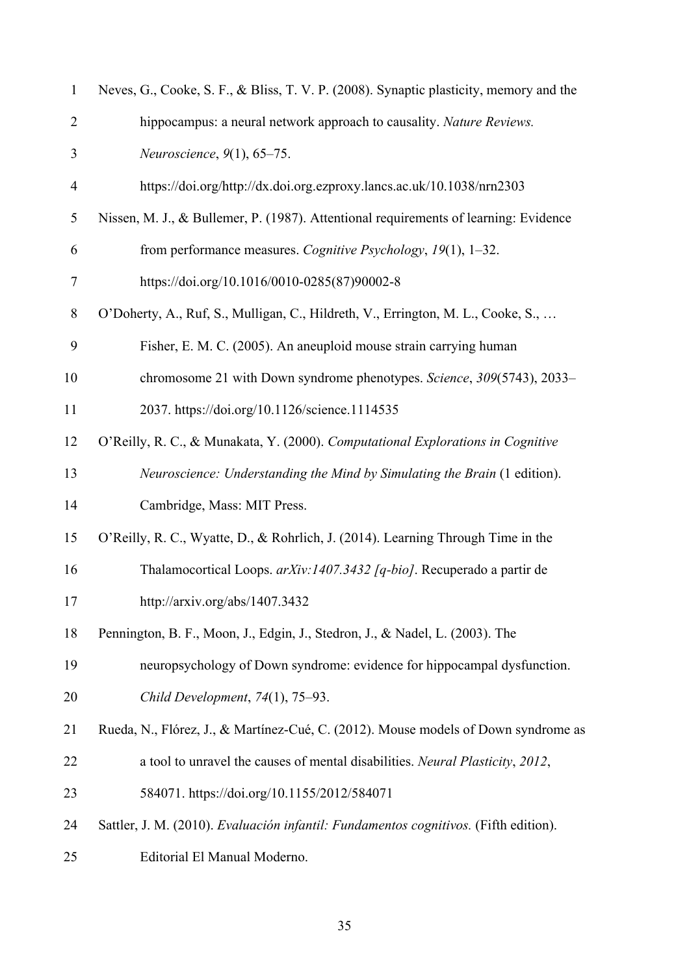| 1              | Neves, G., Cooke, S. F., & Bliss, T. V. P. (2008). Synaptic plasticity, memory and the |
|----------------|----------------------------------------------------------------------------------------|
| $\overline{2}$ | hippocampus: a neural network approach to causality. Nature Reviews.                   |
| 3              | Neuroscience, 9(1), 65-75.                                                             |
| $\overline{4}$ | https://doi.org/http://dx.doi.org.ezproxy.lancs.ac.uk/10.1038/nrn2303                  |
| 5              | Nissen, M. J., & Bullemer, P. (1987). Attentional requirements of learning: Evidence   |
| 6              | from performance measures. Cognitive Psychology, 19(1), 1–32.                          |
| $\tau$         | https://doi.org/10.1016/0010-0285(87)90002-8                                           |
| 8              | O'Doherty, A., Ruf, S., Mulligan, C., Hildreth, V., Errington, M. L., Cooke, S.,       |
| 9              | Fisher, E. M. C. (2005). An aneuploid mouse strain carrying human                      |
| 10             | chromosome 21 with Down syndrome phenotypes. Science, 309(5743), 2033–                 |
| 11             | 2037. https://doi.org/10.1126/science.1114535                                          |
| 12             | O'Reilly, R. C., & Munakata, Y. (2000). Computational Explorations in Cognitive        |
| 13             | Neuroscience: Understanding the Mind by Simulating the Brain (1 edition).              |
| 14             | Cambridge, Mass: MIT Press.                                                            |
| 15             | O'Reilly, R. C., Wyatte, D., & Rohrlich, J. (2014). Learning Through Time in the       |
| 16             | Thalamocortical Loops. arXiv:1407.3432 [q-bio]. Recuperado a partir de                 |
| 17             | http://arxiv.org/abs/1407.3432                                                         |
| 18             | Pennington, B. F., Moon, J., Edgin, J., Stedron, J., & Nadel, L. (2003). The           |
| 19             | neuropsychology of Down syndrome: evidence for hippocampal dysfunction.                |
| 20             | Child Development, 74(1), 75-93.                                                       |
| 21             | Rueda, N., Flórez, J., & Martínez-Cué, C. (2012). Mouse models of Down syndrome as     |
| 22             | a tool to unravel the causes of mental disabilities. Neural Plasticity, 2012,          |
| 23             | 584071. https://doi.org/10.1155/2012/584071                                            |
| 24             | Sattler, J. M. (2010). Evaluación infantil: Fundamentos cognitivos. (Fifth edition).   |
| 25             | Editorial El Manual Moderno.                                                           |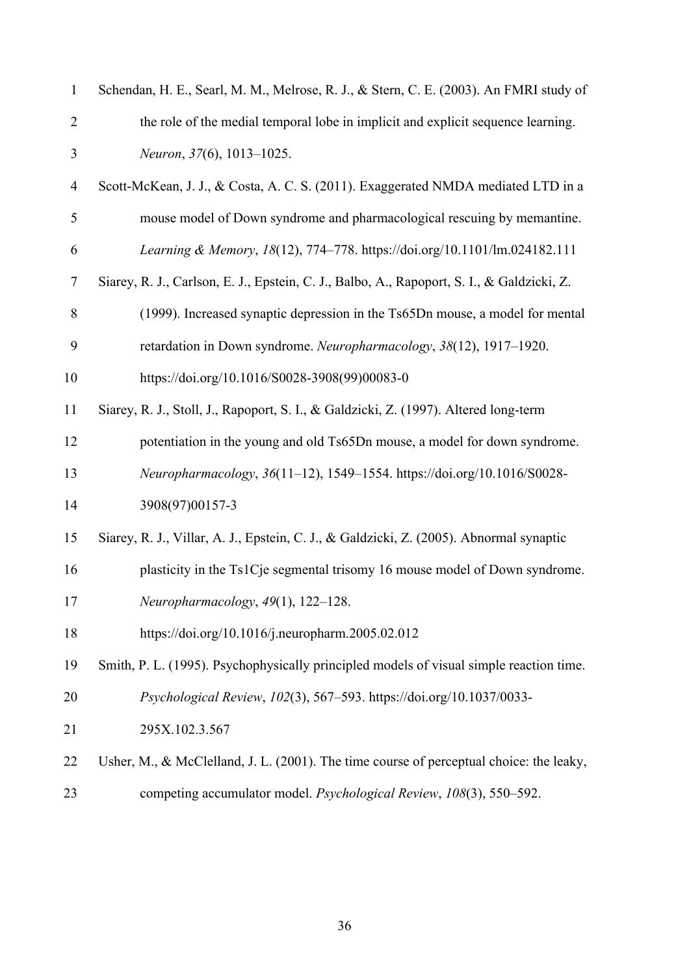| $\mathbf{1}$   | Schendan, H. E., Searl, M. M., Melrose, R. J., & Stern, C. E. (2003). An FMRI study of     |
|----------------|--------------------------------------------------------------------------------------------|
| $\overline{2}$ | the role of the medial temporal lobe in implicit and explicit sequence learning.           |
| $\mathfrak{Z}$ | Neuron, 37(6), 1013-1025.                                                                  |
| 4              | Scott-McKean, J. J., & Costa, A. C. S. (2011). Exaggerated NMDA mediated LTD in a          |
| 5              | mouse model of Down syndrome and pharmacological rescuing by memantine.                    |
| 6              | Learning & Memory, 18(12), 774-778. https://doi.org/10.1101/lm.024182.111                  |
| $\tau$         | Siarey, R. J., Carlson, E. J., Epstein, C. J., Balbo, A., Rapoport, S. I., & Galdzicki, Z. |
| 8              | (1999). Increased synaptic depression in the Ts65Dn mouse, a model for mental              |
| 9              | retardation in Down syndrome. Neuropharmacology, 38(12), 1917-1920.                        |
| 10             | https://doi.org/10.1016/S0028-3908(99)00083-0                                              |
| 11             | Siarey, R. J., Stoll, J., Rapoport, S. I., & Galdzicki, Z. (1997). Altered long-term       |
| 12             | potentiation in the young and old Ts65Dn mouse, a model for down syndrome.                 |
| 13             | Neuropharmacology, 36(11-12), 1549-1554. https://doi.org/10.1016/S0028-                    |
| 14             | 3908(97)00157-3                                                                            |
| 15             | Siarey, R. J., Villar, A. J., Epstein, C. J., & Galdzicki, Z. (2005). Abnormal synaptic    |
| 16             | plasticity in the Ts1Cje segmental trisomy 16 mouse model of Down syndrome.                |
| 17             | Neuropharmacology, 49(1), 122-128.                                                         |
| 18             | https://doi.org/10.1016/j.neuropharm.2005.02.012                                           |
| 19             | Smith, P. L. (1995). Psychophysically principled models of visual simple reaction time.    |
| 20             | Psychological Review, 102(3), 567–593. https://doi.org/10.1037/0033-                       |
| 21             | 295X.102.3.567                                                                             |
| 22             | Usher, M., & McClelland, J. L. (2001). The time course of perceptual choice: the leaky,    |
| 23             | competing accumulator model. Psychological Review, 108(3), 550-592.                        |